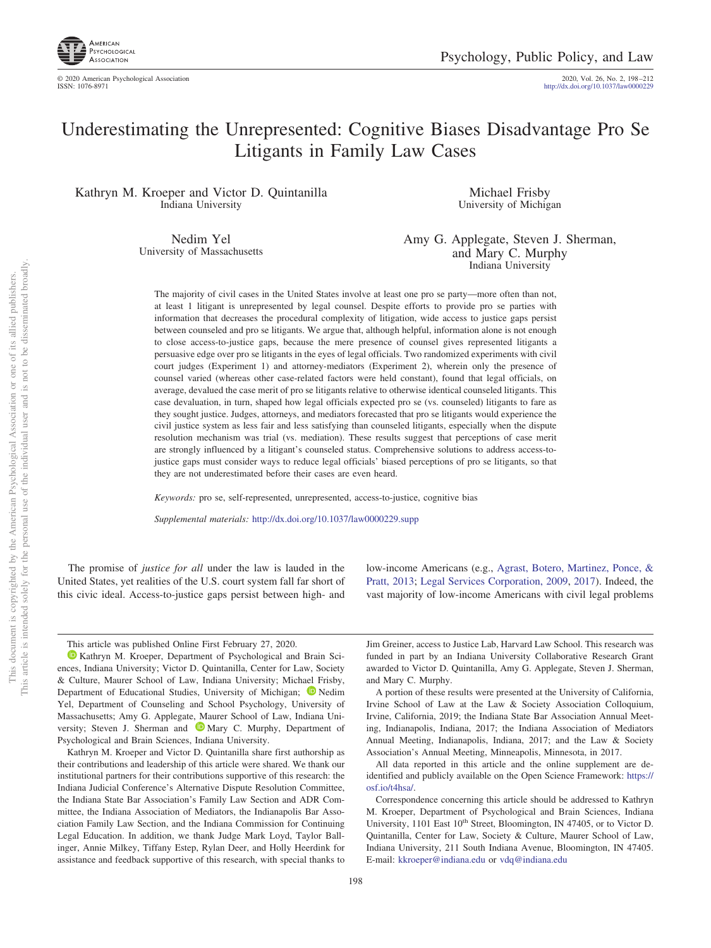

http://dx.doi.org[/10.1037/law0000229](http://dx.doi.org/10.1037/law0000229)

# Underestimating the Unrepresented: Cognitive Biases Disadvantage Pro Se Litigants in Family Law Cases

Kathryn M. Kroeper and Victor D. Quintanilla Indiana University

> Nedim Yel University of Massachusetts

Michael Frisby University of Michigan

Amy G. Applegate, Steven J. Sherman, and Mary C. Murphy Indiana University

The majority of civil cases in the United States involve at least one pro se party—more often than not, at least 1 litigant is unrepresented by legal counsel. Despite efforts to provide pro se parties with information that decreases the procedural complexity of litigation, wide access to justice gaps persist between counseled and pro se litigants. We argue that, although helpful, information alone is not enough to close access-to-justice gaps, because the mere presence of counsel gives represented litigants a persuasive edge over pro se litigants in the eyes of legal officials. Two randomized experiments with civil court judges (Experiment 1) and attorney-mediators (Experiment 2), wherein only the presence of counsel varied (whereas other case-related factors were held constant), found that legal officials, on average, devalued the case merit of pro se litigants relative to otherwise identical counseled litigants. This case devaluation, in turn, shaped how legal officials expected pro se (vs. counseled) litigants to fare as they sought justice. Judges, attorneys, and mediators forecasted that pro se litigants would experience the civil justice system as less fair and less satisfying than counseled litigants, especially when the dispute resolution mechanism was trial (vs. mediation). These results suggest that perceptions of case merit are strongly influenced by a litigant's counseled status. Comprehensive solutions to address access-tojustice gaps must consider ways to reduce legal officials' biased perceptions of pro se litigants, so that they are not underestimated before their cases are even heard.

*Keywords:* pro se, self-represented, unrepresented, access-to-justice, cognitive bias

*Supplemental materials:* http://dx.doi.org/10.1037/law0000229.supp

The promise of *justice for all* under the law is lauded in the United States, yet realities of the U.S. court system fall far short of this civic ideal. Access-to-justice gaps persist between high- and low-income Americans (e.g., [Agrast, Botero, Martinez, Ponce, &](#page-13-0) [Pratt, 2013;](#page-13-0) [Legal Services Corporation, 2009,](#page-14-0) [2017\)](#page-14-1). Indeed, the vast majority of low-income Americans with civil legal problems

This article was published Online First February 27, 2020.

[Kathryn M. Kroeper,](https://orcid.org/0000-0003-2701-5053) Department of Psychological and Brain Sciences, Indiana University; Victor D. Quintanilla, Center for Law, Society & Culture, Maurer School of Law, Indiana University; Michael Frisby, Department of Educational Studies, University of Michigan; <sup>D</sup> [Nedim](https://orcid.org/0000-0001-9605-4326) [Yel,](https://orcid.org/0000-0001-9605-4326) Department of Counseling and School Psychology, University of Massachusetts; Amy G. Applegate, Maurer School of Law, Indiana Uni-versity; Steven J. Sherman and <sup>1</sup> [Mary C. Murphy,](https://orcid.org/0000-0001-6511-498X) Department of Psychological and Brain Sciences, Indiana University.

Kathryn M. Kroeper and Victor D. Quintanilla share first authorship as their contributions and leadership of this article were shared. We thank our institutional partners for their contributions supportive of this research: the Indiana Judicial Conference's Alternative Dispute Resolution Committee, the Indiana State Bar Association's Family Law Section and ADR Committee, the Indiana Association of Mediators, the Indianapolis Bar Association Family Law Section, and the Indiana Commission for Continuing Legal Education. In addition, we thank Judge Mark Loyd, Taylor Ballinger, Annie Milkey, Tiffany Estep, Rylan Deer, and Holly Heerdink for assistance and feedback supportive of this research, with special thanks to

Jim Greiner, access to Justice Lab, Harvard Law School. This research was funded in part by an Indiana University Collaborative Research Grant awarded to Victor D. Quintanilla, Amy G. Applegate, Steven J. Sherman, and Mary C. Murphy.

A portion of these results were presented at the University of California, Irvine School of Law at the Law & Society Association Colloquium, Irvine, California, 2019; the Indiana State Bar Association Annual Meeting, Indianapolis, Indiana, 2017; the Indiana Association of Mediators Annual Meeting, Indianapolis, Indiana, 2017; and the Law & Society Association's Annual Meeting, Minneapolis, Minnesota, in 2017.

All data reported in this article and the online supplement are deidentified and publicly available on the Open Science Framework: [https://](https://osf.io/t4hsa/) [osf.io/t4hsa/.](https://osf.io/t4hsa/)

Correspondence concerning this article should be addressed to Kathryn M. Kroeper, Department of Psychological and Brain Sciences, Indiana University, 1101 East 10<sup>th</sup> Street, Bloomington, IN 47405, or to Victor D. Quintanilla, Center for Law, Society & Culture, Maurer School of Law, Indiana University, 211 South Indiana Avenue, Bloomington, IN 47405. E-mail: [kkroeper@indiana.edu](mailto:kkroeper@indiana.edu) or [vdq@indiana.edu](mailto:vdq@indiana.edu)

This document is copyrighted by the American Psychological Association or one of its allied publishers. This article is intended solely for the personal use of the individual user and is not to be disseminated broadly.

This document is copyrighted by the American Psychological Association<br>This article is intended solely for the personal use of the individual user and i

 $\overleftarrow{\mathrm{O}}$  $\widetilde{\Xi}$ 

not to be disseminated broadly one of its allied publishers.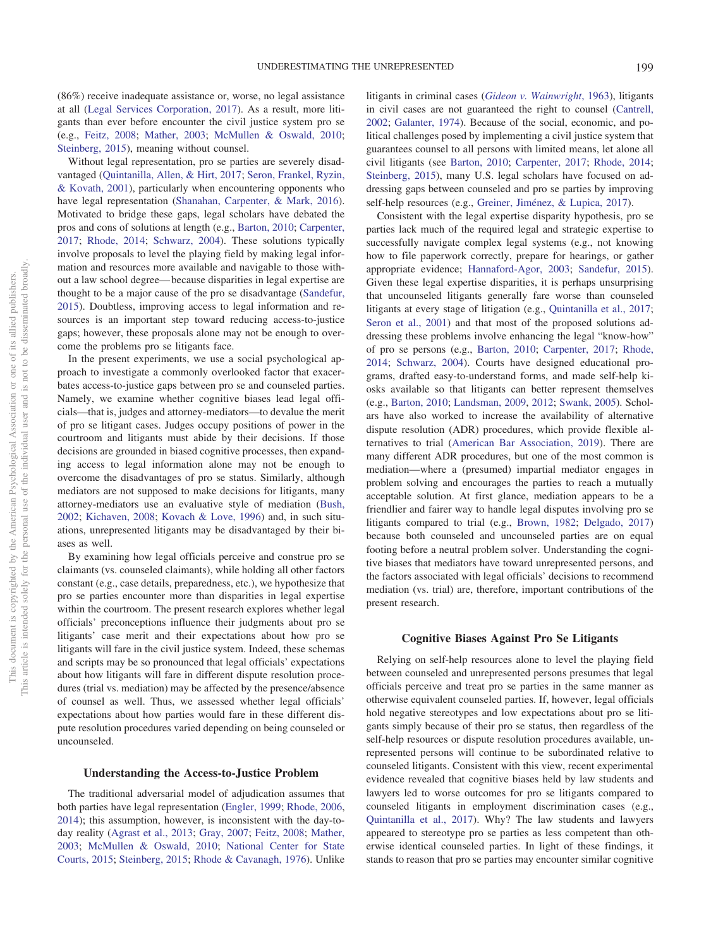(86%) receive inadequate assistance or, worse, no legal assistance at all [\(Legal Services Corporation, 2017\)](#page-14-1). As a result, more litigants than ever before encounter the civil justice system pro se (e.g., [Feitz, 2008;](#page-13-1) [Mather, 2003;](#page-14-2) [McMullen & Oswald, 2010;](#page-14-3) [Steinberg, 2015\)](#page-14-4), meaning without counsel.

Without legal representation, pro se parties are severely disadvantaged [\(Quintanilla, Allen, & Hirt, 2017;](#page-14-5) [Seron, Frankel, Ryzin,](#page-14-6) [& Kovath, 2001\)](#page-14-6), particularly when encountering opponents who have legal representation [\(Shanahan, Carpenter, & Mark, 2016\)](#page-14-7). Motivated to bridge these gaps, legal scholars have debated the pros and cons of solutions at length (e.g., [Barton, 2010;](#page-13-2) [Carpenter,](#page-13-3) [2017;](#page-13-3) [Rhode, 2014;](#page-14-8) [Schwarz, 2004\)](#page-14-9). These solutions typically involve proposals to level the playing field by making legal information and resources more available and navigable to those without a law school degree— because disparities in legal expertise are thought to be a major cause of the pro se disadvantage [\(Sandefur,](#page-14-10) [2015\)](#page-14-10). Doubtless, improving access to legal information and resources is an important step toward reducing access-to-justice gaps; however, these proposals alone may not be enough to overcome the problems pro se litigants face.

In the present experiments, we use a social psychological approach to investigate a commonly overlooked factor that exacerbates access-to-justice gaps between pro se and counseled parties. Namely, we examine whether cognitive biases lead legal officials—that is, judges and attorney-mediators—to devalue the merit of pro se litigant cases. Judges occupy positions of power in the courtroom and litigants must abide by their decisions. If those decisions are grounded in biased cognitive processes, then expanding access to legal information alone may not be enough to overcome the disadvantages of pro se status. Similarly, although mediators are not supposed to make decisions for litigants, many attorney-mediators use an evaluative style of mediation [\(Bush,](#page-13-4) [2002;](#page-13-4) [Kichaven, 2008;](#page-14-11) [Kovach & Love, 1996\)](#page-14-12) and, in such situations, unrepresented litigants may be disadvantaged by their biases as well.

By examining how legal officials perceive and construe pro se claimants (vs. counseled claimants), while holding all other factors constant (e.g., case details, preparedness, etc.), we hypothesize that pro se parties encounter more than disparities in legal expertise within the courtroom. The present research explores whether legal officials' preconceptions influence their judgments about pro se litigants' case merit and their expectations about how pro se litigants will fare in the civil justice system. Indeed, these schemas and scripts may be so pronounced that legal officials' expectations about how litigants will fare in different dispute resolution procedures (trial vs. mediation) may be affected by the presence/absence of counsel as well. Thus, we assessed whether legal officials' expectations about how parties would fare in these different dispute resolution procedures varied depending on being counseled or uncounseled.

## **Understanding the Access-to-Justice Problem**

The traditional adversarial model of adjudication assumes that both parties have legal representation [\(Engler, 1999;](#page-13-5) [Rhode, 2006,](#page-14-13) [2014\)](#page-14-8); this assumption, however, is inconsistent with the day-today reality [\(Agrast et al., 2013;](#page-13-0) [Gray, 2007;](#page-14-14) [Feitz, 2008;](#page-13-1) [Mather,](#page-14-2) [2003;](#page-14-2) [McMullen & Oswald, 2010;](#page-14-3) [National Center for State](#page-14-15) [Courts, 2015;](#page-14-15) [Steinberg, 2015;](#page-14-4) [Rhode & Cavanagh, 1976\)](#page-14-16). Unlike

litigants in criminal cases (*[Gideon v. Wainwright](#page-14-17)*, 1963), litigants in civil cases are not guaranteed the right to counsel [\(Cantrell,](#page-13-6) [2002;](#page-13-6) [Galanter, 1974\)](#page-14-18). Because of the social, economic, and political challenges posed by implementing a civil justice system that guarantees counsel to all persons with limited means, let alone all civil litigants (see [Barton, 2010;](#page-13-2) [Carpenter, 2017;](#page-13-3) [Rhode, 2014;](#page-14-8) [Steinberg, 2015\)](#page-14-4), many U.S. legal scholars have focused on addressing gaps between counseled and pro se parties by improving self-help resources (e.g., [Greiner, Jiménez, & Lupica, 2017\)](#page-14-19).

Consistent with the legal expertise disparity hypothesis, pro se parties lack much of the required legal and strategic expertise to successfully navigate complex legal systems (e.g., not knowing how to file paperwork correctly, prepare for hearings, or gather appropriate evidence; [Hannaford-Agor, 2003;](#page-14-20) [Sandefur, 2015\)](#page-14-10). Given these legal expertise disparities, it is perhaps unsurprising that uncounseled litigants generally fare worse than counseled litigants at every stage of litigation (e.g., [Quintanilla et al., 2017;](#page-14-5) [Seron et al., 2001\)](#page-14-6) and that most of the proposed solutions addressing these problems involve enhancing the legal "know-how" of pro se persons (e.g., [Barton, 2010;](#page-13-2) [Carpenter, 2017;](#page-13-3) [Rhode,](#page-14-8) [2014;](#page-14-8) [Schwarz, 2004\)](#page-14-9). Courts have designed educational programs, drafted easy-to-understand forms, and made self-help kiosks available so that litigants can better represent themselves (e.g., [Barton, 2010;](#page-13-2) [Landsman, 2009,](#page-14-21) [2012;](#page-14-22) [Swank, 2005\)](#page-14-23). Scholars have also worked to increase the availability of alternative dispute resolution (ADR) procedures, which provide flexible alternatives to trial [\(American Bar Association, 2019\)](#page-13-7). There are many different ADR procedures, but one of the most common is mediation—where a (presumed) impartial mediator engages in problem solving and encourages the parties to reach a mutually acceptable solution. At first glance, mediation appears to be a friendlier and fairer way to handle legal disputes involving pro se litigants compared to trial (e.g., [Brown, 1982;](#page-13-8) [Delgado, 2017\)](#page-13-9) because both counseled and uncounseled parties are on equal footing before a neutral problem solver. Understanding the cognitive biases that mediators have toward unrepresented persons, and the factors associated with legal officials' decisions to recommend mediation (vs. trial) are, therefore, important contributions of the present research.

# **Cognitive Biases Against Pro Se Litigants**

Relying on self-help resources alone to level the playing field between counseled and unrepresented persons presumes that legal officials perceive and treat pro se parties in the same manner as otherwise equivalent counseled parties. If, however, legal officials hold negative stereotypes and low expectations about pro se litigants simply because of their pro se status, then regardless of the self-help resources or dispute resolution procedures available, unrepresented persons will continue to be subordinated relative to counseled litigants. Consistent with this view, recent experimental evidence revealed that cognitive biases held by law students and lawyers led to worse outcomes for pro se litigants compared to counseled litigants in employment discrimination cases (e.g., [Quintanilla et al., 2017\)](#page-14-5). Why? The law students and lawyers appeared to stereotype pro se parties as less competent than otherwise identical counseled parties. In light of these findings, it stands to reason that pro se parties may encounter similar cognitive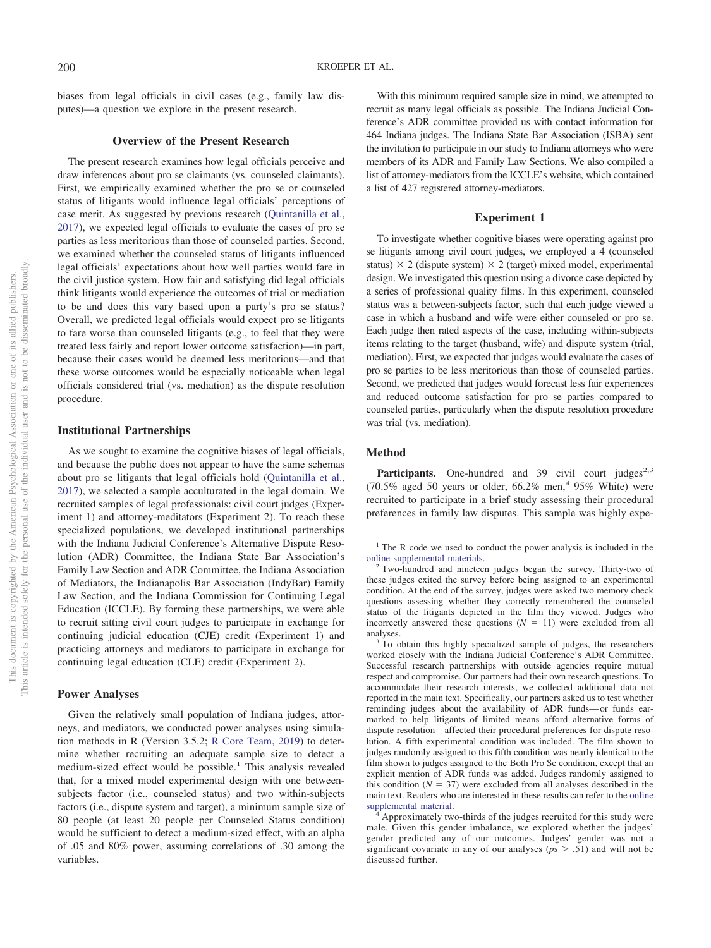biases from legal officials in civil cases (e.g., family law disputes)—a question we explore in the present research.

## **Overview of the Present Research**

The present research examines how legal officials perceive and draw inferences about pro se claimants (vs. counseled claimants). First, we empirically examined whether the pro se or counseled status of litigants would influence legal officials' perceptions of case merit. As suggested by previous research [\(Quintanilla et al.,](#page-14-5) [2017\)](#page-14-5), we expected legal officials to evaluate the cases of pro se parties as less meritorious than those of counseled parties. Second, we examined whether the counseled status of litigants influenced legal officials' expectations about how well parties would fare in the civil justice system. How fair and satisfying did legal officials think litigants would experience the outcomes of trial or mediation to be and does this vary based upon a party's pro se status? Overall, we predicted legal officials would expect pro se litigants to fare worse than counseled litigants (e.g., to feel that they were treated less fairly and report lower outcome satisfaction)—in part, because their cases would be deemed less meritorious—and that these worse outcomes would be especially noticeable when legal officials considered trial (vs. mediation) as the dispute resolution procedure.

## **Institutional Partnerships**

As we sought to examine the cognitive biases of legal officials, and because the public does not appear to have the same schemas about pro se litigants that legal officials hold [\(Quintanilla et al.,](#page-14-5) [2017\)](#page-14-5), we selected a sample acculturated in the legal domain. We recruited samples of legal professionals: civil court judges (Experiment 1) and attorney-meditators (Experiment 2). To reach these specialized populations, we developed institutional partnerships with the Indiana Judicial Conference's Alternative Dispute Resolution (ADR) Committee, the Indiana State Bar Association's Family Law Section and ADR Committee, the Indiana Association of Mediators, the Indianapolis Bar Association (IndyBar) Family Law Section, and the Indiana Commission for Continuing Legal Education (ICCLE). By forming these partnerships, we were able to recruit sitting civil court judges to participate in exchange for continuing judicial education (CJE) credit (Experiment 1) and practicing attorneys and mediators to participate in exchange for continuing legal education (CLE) credit (Experiment 2).

#### **Power Analyses**

Given the relatively small population of Indiana judges, attorneys, and mediators, we conducted power analyses using simulation methods in R (Version 3.5.2; [R Core Team, 2019\)](#page-14-24) to determine whether recruiting an adequate sample size to detect a medium-sized effect would be possible.<sup>1</sup> This analysis revealed that, for a mixed model experimental design with one betweensubjects factor (i.e., counseled status) and two within-subjects factors (i.e., dispute system and target), a minimum sample size of 80 people (at least 20 people per Counseled Status condition) would be sufficient to detect a medium-sized effect, with an alpha of .05 and 80% power, assuming correlations of .30 among the variables.

With this minimum required sample size in mind, we attempted to recruit as many legal officials as possible. The Indiana Judicial Conference's ADR committee provided us with contact information for 464 Indiana judges. The Indiana State Bar Association (ISBA) sent the invitation to participate in our study to Indiana attorneys who were members of its ADR and Family Law Sections. We also compiled a list of attorney-mediators from the ICCLE's website, which contained a list of 427 registered attorney-mediators.

## **Experiment 1**

To investigate whether cognitive biases were operating against pro se litigants among civil court judges, we employed a 4 (counseled status)  $\times$  2 (dispute system)  $\times$  2 (target) mixed model, experimental design. We investigated this question using a divorce case depicted by a series of professional quality films. In this experiment, counseled status was a between-subjects factor, such that each judge viewed a case in which a husband and wife were either counseled or pro se. Each judge then rated aspects of the case, including within-subjects items relating to the target (husband, wife) and dispute system (trial, mediation). First, we expected that judges would evaluate the cases of pro se parties to be less meritorious than those of counseled parties. Second, we predicted that judges would forecast less fair experiences and reduced outcome satisfaction for pro se parties compared to counseled parties, particularly when the dispute resolution procedure was trial (vs. mediation).

# **Method**

**Participants.** One-hundred and 39 civil court judges<sup>2,3</sup> (70.5% aged 50 years or older,  $66.2\%$  men,<sup>4</sup> 95% White) were recruited to participate in a brief study assessing their procedural preferences in family law disputes. This sample was highly expe-

 $1$ <sup>1</sup> The R code we used to conduct the power analysis is included in the [online supplemental materials.](http://dx.doi.org/10.1037/law0000229.supp) <sup>2</sup> Two-hundred and nineteen judges began the survey. Thirty-two of

these judges exited the survey before being assigned to an experimental condition. At the end of the survey, judges were asked two memory check questions assessing whether they correctly remembered the counseled status of the litigants depicted in the film they viewed. Judges who incorrectly answered these questions  $(N = 11)$  were excluded from all analyses.<br> $3$  To obtain this highly specialized sample of judges, the researchers

worked closely with the Indiana Judicial Conference's ADR Committee. Successful research partnerships with outside agencies require mutual respect and compromise. Our partners had their own research questions. To accommodate their research interests, we collected additional data not reported in the main text. Specifically, our partners asked us to test whether reminding judges about the availability of ADR funds— or funds earmarked to help litigants of limited means afford alternative forms of dispute resolution—affected their procedural preferences for dispute resolution. A fifth experimental condition was included. The film shown to judges randomly assigned to this fifth condition was nearly identical to the film shown to judges assigned to the Both Pro Se condition, except that an explicit mention of ADR funds was added. Judges randomly assigned to this condition  $(N = 37)$  were excluded from all analyses described in the main text. Readers who are interested in these results can refer to the [online](http://dx.doi.org/10.1037/law0000229.supp) [supplemental material.](http://dx.doi.org/10.1037/law0000229.supp)<br><sup>4</sup> Approximately two-thirds of the judges recruited for this study were

male. Given this gender imbalance, we explored whether the judges' gender predicted any of our outcomes. Judges' gender was not a significant covariate in any of our analyses ( $p$ s  $> .51$ ) and will not be discussed further.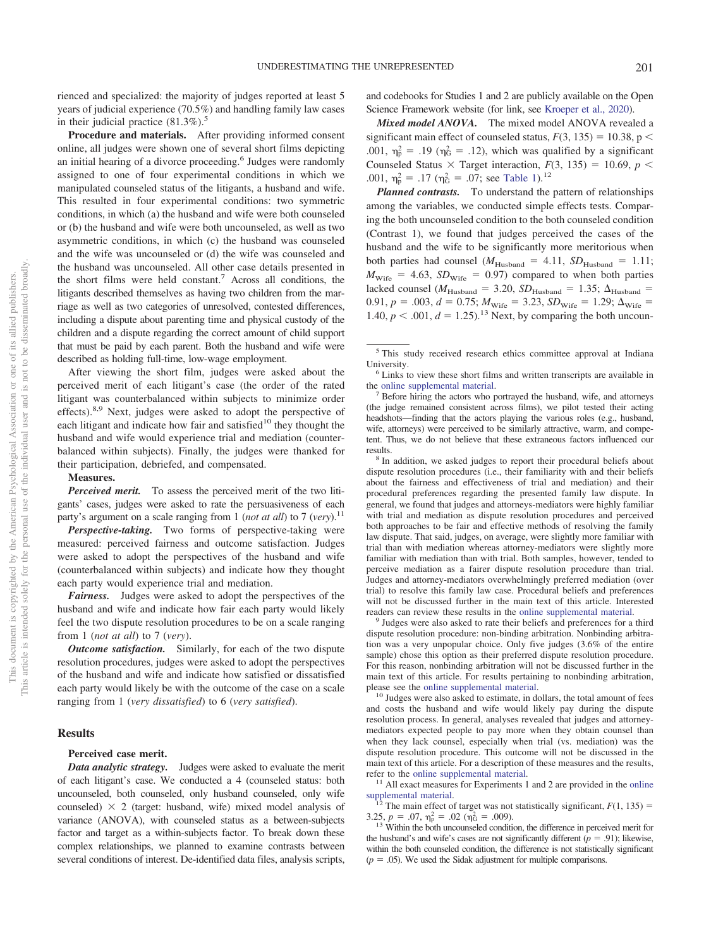rienced and specialized: the majority of judges reported at least 5 years of judicial experience (70.5%) and handling family law cases in their judicial practice  $(81.3\%)$ .<sup>5</sup>

**Procedure and materials.** After providing informed consent online, all judges were shown one of several short films depicting an initial hearing of a divorce proceeding.<sup>6</sup> Judges were randomly assigned to one of four experimental conditions in which we manipulated counseled status of the litigants, a husband and wife. This resulted in four experimental conditions: two symmetric conditions, in which (a) the husband and wife were both counseled or (b) the husband and wife were both uncounseled, as well as two asymmetric conditions, in which (c) the husband was counseled and the wife was uncounseled or (d) the wife was counseled and the husband was uncounseled. All other case details presented in the short films were held constant.<sup>7</sup> Across all conditions, the litigants described themselves as having two children from the marriage as well as two categories of unresolved, contested differences, including a dispute about parenting time and physical custody of the children and a dispute regarding the correct amount of child support that must be paid by each parent. Both the husband and wife were described as holding full-time, low-wage employment.

After viewing the short film, judges were asked about the perceived merit of each litigant's case (the order of the rated litigant was counterbalanced within subjects to minimize order effects).<sup>8,9</sup> Next, judges were asked to adopt the perspective of each litigant and indicate how fair and satisfied<sup>10</sup> they thought the husband and wife would experience trial and mediation (counterbalanced within subjects). Finally, the judges were thanked for their participation, debriefed, and compensated.

## **Measures.**

*Perceived merit.* To assess the perceived merit of the two litigants' cases, judges were asked to rate the persuasiveness of each party's argument on a scale ranging from 1 (*not at all*) to 7 (*very*).<sup>11</sup>

*Perspective-taking.* Two forms of perspective-taking were measured: perceived fairness and outcome satisfaction. Judges were asked to adopt the perspectives of the husband and wife (counterbalanced within subjects) and indicate how they thought each party would experience trial and mediation.

*Fairness.* Judges were asked to adopt the perspectives of the husband and wife and indicate how fair each party would likely feel the two dispute resolution procedures to be on a scale ranging from 1 (*not at all*) to 7 (*very*).

*Outcome satisfaction.* Similarly, for each of the two dispute resolution procedures, judges were asked to adopt the perspectives of the husband and wife and indicate how satisfied or dissatisfied each party would likely be with the outcome of the case on a scale ranging from 1 (*very dissatisfied*) to 6 (*very satisfied*).

# **Results**

#### **Perceived case merit.**

*Data analytic strategy.* Judges were asked to evaluate the merit of each litigant's case. We conducted a 4 (counseled status: both uncounseled, both counseled, only husband counseled, only wife counseled)  $\times$  2 (target: husband, wife) mixed model analysis of variance (ANOVA), with counseled status as a between-subjects factor and target as a within-subjects factor. To break down these complex relationships, we planned to examine contrasts between several conditions of interest. De-identified data files, analysis scripts,

and codebooks for Studies 1 and 2 are publicly available on the Open Science Framework website (for link, see [Kroeper et al., 2020\)](#page-14-25).

*Mixed model ANOVA.* The mixed model ANOVA revealed a significant main effect of counseled status,  $F(3, 135) = 10.38$ , p < .001,  $\eta_p^2 = .19$  ( $\eta_G^2 = .12$ ), which was qualified by a significant Counseled Status  $\times$  Target interaction,  $F(3, 135) = 10.69$ ,  $p <$ .001,  $\eta_{\rm p}^2 = .17$  ( $\eta_{\rm G}^2 = .07$ ; see [Table 1\)](#page-4-0).<sup>12</sup>

*Planned contrasts.* To understand the pattern of relationships among the variables, we conducted simple effects tests. Comparing the both uncounseled condition to the both counseled condition (Contrast 1), we found that judges perceived the cases of the husband and the wife to be significantly more meritorious when both parties had counsel ( $M_{\text{Husband}} = 4.11$ ,  $SD_{\text{Husband}} = 1.11$ ;  $M_{\text{wire}}$  = 4.63, *SD*<sub>Wife</sub> = 0.97) compared to when both parties lacked counsel ( $M_{\text{Husband}}$  = 3.20,  $SD_{\text{Husband}}$  = 1.35;  $\Delta_{\text{Husband}}$  = 0.91,  $p = .003$ ,  $d = 0.75$ ;  $M_{\text{wire}} = 3.23$ ,  $SD_{\text{wire}} = 1.29$ ;  $\Delta_{\text{wire}} =$ 1.40,  $p < .001$ ,  $d = 1.25$ ).<sup>13</sup> Next, by comparing the both uncoun-

(the judge remained consistent across films), we pilot tested their acting headshots—finding that the actors playing the various roles (e.g., husband, wife, attorneys) were perceived to be similarly attractive, warm, and competent. Thus, we do not believe that these extraneous factors influenced our results. <sup>8</sup> In addition, we asked judges to report their procedural beliefs about

dispute resolution procedures (i.e., their familiarity with and their beliefs about the fairness and effectiveness of trial and mediation) and their procedural preferences regarding the presented family law dispute. In general, we found that judges and attorneys-mediators were highly familiar with trial and mediation as dispute resolution procedures and perceived both approaches to be fair and effective methods of resolving the family law dispute. That said, judges, on average, were slightly more familiar with trial than with mediation whereas attorney-mediators were slightly more familiar with mediation than with trial. Both samples, however, tended to perceive mediation as a fairer dispute resolution procedure than trial. Judges and attorney-mediators overwhelmingly preferred mediation (over trial) to resolve this family law case. Procedural beliefs and preferences will not be discussed further in the main text of this article. Interested readers can review these results in the [online supplemental material.](http://dx.doi.org/10.1037/law0000229.supp)<br><sup>9</sup> Judges were also asked to rate their beliefs and preferences for a third

dispute resolution procedure: non-binding arbitration. Nonbinding arbitration was a very unpopular choice. Only five judges (3.6% of the entire sample) chose this option as their preferred dispute resolution procedure. For this reason, nonbinding arbitration will not be discussed further in the main text of this article. For results pertaining to nonbinding arbitration, please see the [online supplemental material.](http://dx.doi.org/10.1037/law0000229.supp) <sup>10</sup> Judges were also asked to estimate, in dollars, the total amount of fees

and costs the husband and wife would likely pay during the dispute resolution process. In general, analyses revealed that judges and attorneymediators expected people to pay more when they obtain counsel than when they lack counsel, especially when trial (vs. mediation) was the dispute resolution procedure. This outcome will not be discussed in the main text of this article. For a description of these measures and the results, refer to the [online supplemental material.](http://dx.doi.org/10.1037/law0000229.supp)<br> $11$  All exact measures for Experiments 1 and 2 are provided in the [online](http://dx.doi.org/10.1037/law0000229.supp)

[supplemental material.](http://dx.doi.org/10.1037/law0000229.supp)  $12$  The main effect of target was not statistically significant, *F*(1, 135) =

3.25,  $p = .07$ ,  $\eta_{\rm p}^2 = .02$  ( $\eta_{\rm G}^2$ 

 $13$  Within the both uncounseled condition, the difference in perceived merit for the husband's and wife's cases are not significantly different  $(p = .91)$ ; likewise, within the both counseled condition, the difference is not statistically significant  $(p = .05)$ . We used the Sidak adjustment for multiple comparisons.

<sup>5</sup> This study received research ethics committee approval at Indiana University.<br><sup>6</sup> Links to view these short films and written transcripts are available in

the [online supplemental material.](http://dx.doi.org/10.1037/law0000229.supp)<br><sup>7</sup> Before hiring the actors who portrayed the husband, wife, and attorneys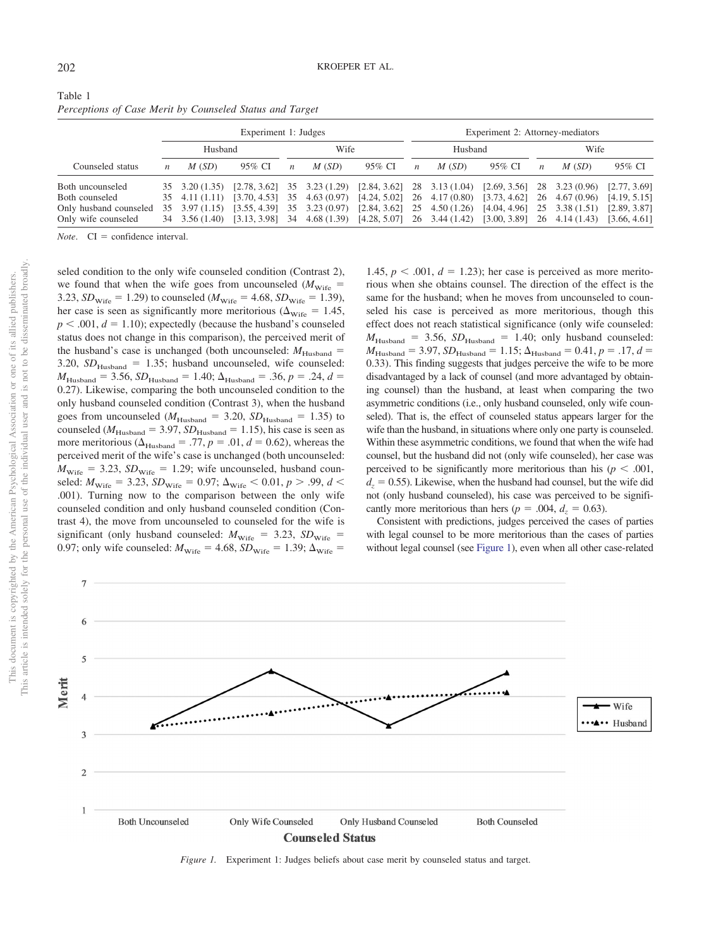<span id="page-4-0"></span>

| Table 1                                                  |  |  |  |
|----------------------------------------------------------|--|--|--|
| Perceptions of Case Merit by Counseled Status and Target |  |  |  |

|                        |                  |                | Experiment 1: Judges                                                                |                  |       |                               | Experiment 2: Attorney-mediators |       |              |                  |                             |              |  |
|------------------------|------------------|----------------|-------------------------------------------------------------------------------------|------------------|-------|-------------------------------|----------------------------------|-------|--------------|------------------|-----------------------------|--------------|--|
|                        | Husband          |                |                                                                                     | Wife             |       |                               | Husband                          |       |              | Wife             |                             |              |  |
| Counseled status       | $\boldsymbol{n}$ | M(SD)          | 95% CI                                                                              | $\boldsymbol{n}$ | M(SD) | 95% CI                        | $\boldsymbol{n}$                 | M(SD) | 95% CI       | $\boldsymbol{n}$ | M(SD)                       | 95% CI       |  |
| Both uncounseled       |                  | 35 3.20 (1.35) | $[2.78, 3.62]$ 35 3.23 (1.29) $[2.84, 3.62]$ 28 3.13 (1.04) $[2.69, 3.56]$          |                  |       |                               |                                  |       |              |                  | 28 3.23 (0.96)              | [2.77, 3.69] |  |
| Both counseled         |                  |                | 35 4.11 (1.11) [3.70, 4.53] 35 4.63 (0.97) [4.24, 5.02] 26 4.17 (0.80) [3.73, 4.62] |                  |       |                               |                                  |       |              |                  | 26 4.67 (0.96)              | [4.19, 5.15] |  |
| Only husband counseled |                  |                | 35 3.97 (1.15) [3.55, 4.39] 35 3.23 (0.97)                                          |                  |       | $[2.84, 3.62]$ 25 4.50 (1.26) |                                  |       | [4.04, 4.96] |                  | $25$ 3.38 $(1.51)$          | [2.89, 3.87] |  |
| Only wife counseled    |                  |                | 34 3.56 (1.40) [3.13, 3.98] 34 4.68 (1.39) [4.28, 5.07] 26 3.44 (1.42) [3.00, 3.89] |                  |       |                               |                                  |       |              |                  | 26 4.14 (1.43) [3.66, 4.61] |              |  |

*Note.*  $CI = confidence interval.$ 

seled condition to the only wife counseled condition (Contrast 2), we found that when the wife goes from uncounseled  $(M_{\text{wire}} =$ 3.23,  $SD_{\text{Wire}} = 1.29$ ) to counseled ( $M_{\text{Wire}} = 4.68$ ,  $SD_{\text{Wire}} = 1.39$ ), her case is seen as significantly more meritorious ( $\Delta_{\text{wire}} = 1.45$ ,  $p < .001$ ,  $d = 1.10$ ); expectedly (because the husband's counseled status does not change in this comparison), the perceived merit of the husband's case is unchanged (both uncounseled:  $M_{\text{Husband}} =$ 3.20,  $SD_{Husband}$  = 1.35; husband uncounseled, wife counseled:  $M_{\text{Husband}} = 3.56, SD_{\text{Husband}} = 1.40; \Delta_{\text{Husband}} = .36, p = .24, d =$ 0.27). Likewise, comparing the both uncounseled condition to the only husband counseled condition (Contrast 3), when the husband goes from uncounseled ( $M_{\text{Husband}} = 3.20$ ,  $SD_{\text{Husband}} = 1.35$ ) to counseled ( $M_{\text{Husband}} = 3.97$ ,  $SD_{\text{Husband}} = 1.15$ ), his case is seen as more meritorious ( $\Delta_{\text{Husband}} = .77$ ,  $p = .01$ ,  $d = 0.62$ ), whereas the perceived merit of the wife's case is unchanged (both uncounseled:  $M_{\text{wire}} = 3.23$ ,  $SD_{\text{wire}} = 1.29$ ; wife uncounseled, husband counseled:  $M_{\text{wire}} = 3.23$ ,  $SD_{\text{wire}} = 0.97$ ;  $\Delta_{\text{wire}} < 0.01$ ,  $p > .99$ ,  $d <$ .001). Turning now to the comparison between the only wife counseled condition and only husband counseled condition (Contrast 4), the move from uncounseled to counseled for the wife is significant (only husband counseled:  $M_{\text{wire}} = 3.23$ ,  $SD_{\text{wire}} =$ 0.97; only wife counseled:  $M_{\text{Wire}} = 4.68$ ,  $SD_{\text{Wire}} = 1.39$ ;  $\Delta_{\text{Wire}} =$ 

1.45,  $p < .001$ ,  $d = 1.23$ ); her case is perceived as more meritorious when she obtains counsel. The direction of the effect is the same for the husband; when he moves from uncounseled to counseled his case is perceived as more meritorious, though this effect does not reach statistical significance (only wife counseled:  $M_{\text{Husband}}$  = 3.56,  $SD_{\text{Husband}}$  = 1.40; only husband counseled:  $M_{\text{Husband}} = 3.97, SD_{\text{Husband}} = 1.15; \Delta_{\text{Husband}} = 0.41, p = .17, d =$ 0.33). This finding suggests that judges perceive the wife to be more disadvantaged by a lack of counsel (and more advantaged by obtaining counsel) than the husband, at least when comparing the two asymmetric conditions (i.e., only husband counseled, only wife counseled). That is, the effect of counseled status appears larger for the wife than the husband, in situations where only one party is counseled. Within these asymmetric conditions, we found that when the wife had counsel, but the husband did not (only wife counseled), her case was perceived to be significantly more meritorious than his ( $p < .001$ ,  $d_z = 0.55$ ). Likewise, when the husband had counsel, but the wife did not (only husband counseled), his case was perceived to be significantly more meritorious than hers ( $p = .004$ ,  $d<sub>z</sub> = 0.63$ ).

Consistent with predictions, judges perceived the cases of parties with legal counsel to be more meritorious than the cases of parties without legal counsel (see [Figure 1\)](#page-4-1), even when all other case-related



<span id="page-4-1"></span>*Figure 1.* Experiment 1: Judges beliefs about case merit by counseled status and target.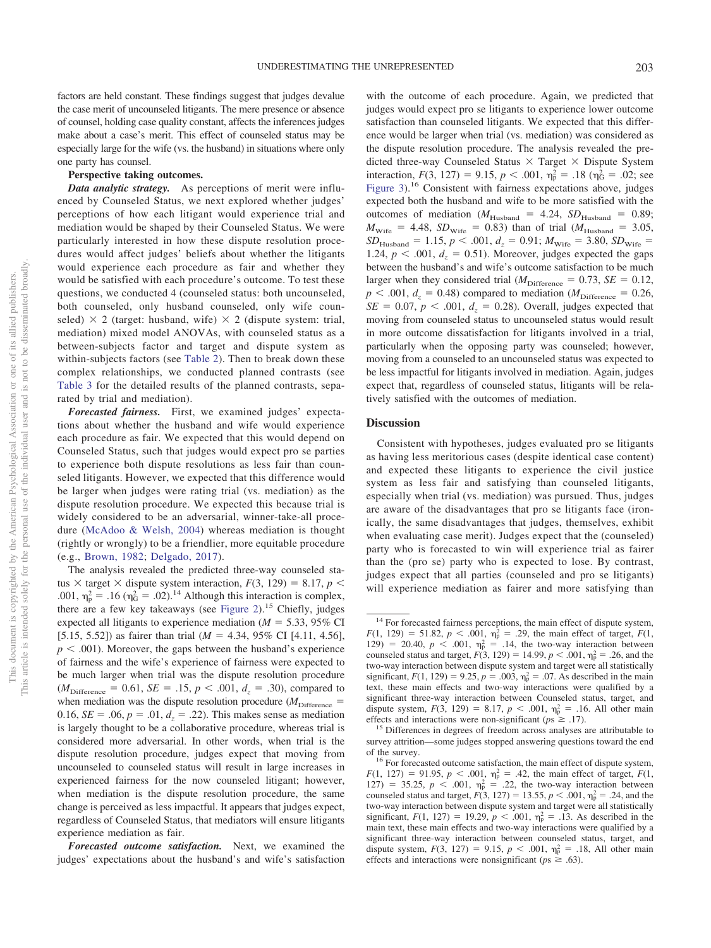factors are held constant. These findings suggest that judges devalue the case merit of uncounseled litigants. The mere presence or absence of counsel, holding case quality constant, affects the inferences judges make about a case's merit. This effect of counseled status may be especially large for the wife (vs. the husband) in situations where only one party has counsel.

# **Perspective taking outcomes.**

*Data analytic strategy.* As perceptions of merit were influenced by Counseled Status, we next explored whether judges' perceptions of how each litigant would experience trial and mediation would be shaped by their Counseled Status. We were particularly interested in how these dispute resolution procedures would affect judges' beliefs about whether the litigants would experience each procedure as fair and whether they would be satisfied with each procedure's outcome. To test these questions, we conducted 4 (counseled status: both uncounseled, both counseled, only husband counseled, only wife counseled)  $\times$  2 (target: husband, wife)  $\times$  2 (dispute system: trial, mediation) mixed model ANOVAs, with counseled status as a between-subjects factor and target and dispute system as within-subjects factors (see [Table 2\)](#page-6-0). Then to break down these complex relationships, we conducted planned contrasts (see [Table 3](#page-7-0) for the detailed results of the planned contrasts, separated by trial and mediation).

*Forecasted fairness.* First, we examined judges' expectations about whether the husband and wife would experience each procedure as fair. We expected that this would depend on Counseled Status, such that judges would expect pro se parties to experience both dispute resolutions as less fair than counseled litigants. However, we expected that this difference would be larger when judges were rating trial (vs. mediation) as the dispute resolution procedure. We expected this because trial is widely considered to be an adversarial, winner-take-all procedure [\(McAdoo & Welsh, 2004\)](#page-14-26) whereas mediation is thought (rightly or wrongly) to be a friendlier, more equitable procedure (e.g., [Brown, 1982;](#page-13-8) [Delgado, 2017\)](#page-13-9).

The analysis revealed the predicted three-way counseled status  $\times$  target  $\times$  dispute system interaction,  $F(3, 129) = 8.17$ ,  $p \le$ .001,  $\eta_p^2 = .16$  ( $\eta_G^2 = .02$ ).<sup>14</sup> Although this interaction is complex, there are a few key takeaways (see [Figure 2\)](#page-8-0).<sup>15</sup> Chiefly, judges expected all litigants to experience mediation ( $M = 5.33$ , 95% CI [5.15, 5.52]) as fairer than trial  $(M = 4.34, 95\% \text{ CI}$  [4.11, 4.56],  $p < .001$ ). Moreover, the gaps between the husband's experience of fairness and the wife's experience of fairness were expected to be much larger when trial was the dispute resolution procedure  $(M_{\text{Difference}} = 0.61, SE = .15, p < .001, d_z = .30)$ , compared to when mediation was the dispute resolution procedure  $(M<sub>Difference</sub>$ 0.16,  $SE = .06$ ,  $p = .01$ ,  $d_z = .22$ ). This makes sense as mediation is largely thought to be a collaborative procedure, whereas trial is considered more adversarial. In other words, when trial is the dispute resolution procedure, judges expect that moving from uncounseled to counseled status will result in large increases in experienced fairness for the now counseled litigant; however, when mediation is the dispute resolution procedure, the same change is perceived as less impactful. It appears that judges expect, regardless of Counseled Status, that mediators will ensure litigants experience mediation as fair.

*Forecasted outcome satisfaction.* Next, we examined the judges' expectations about the husband's and wife's satisfaction

with the outcome of each procedure. Again, we predicted that judges would expect pro se litigants to experience lower outcome satisfaction than counseled litigants. We expected that this difference would be larger when trial (vs. mediation) was considered as the dispute resolution procedure. The analysis revealed the predicted three-way Counseled Status  $\times$  Target  $\times$  Dispute System interaction,  $F(3, 127) = 9.15$ ,  $p < .001$ ,  $\eta_p^2 = .18$  ( $\eta_G^2 = .02$ ; see [Figure 3\)](#page-9-0).16 Consistent with fairness expectations above, judges expected both the husband and wife to be more satisfied with the outcomes of mediation ( $M_{\text{Husband}} = 4.24$ ,  $SD_{\text{Husband}} = 0.89$ ;  $M_{\text{Wire}}$  = 4.48,  $SD_{\text{Wire}}$  = 0.83) than of trial ( $M_{\text{Husband}}$  = 3.05,  $SD_{\text{Husband}} = 1.15, p < .001, d_z = 0.91; M_{\text{Wire}} = 3.80, SD_{\text{Wire}} =$ 1.24,  $p < .001$ ,  $d<sub>z</sub> = 0.51$ ). Moreover, judges expected the gaps between the husband's and wife's outcome satisfaction to be much larger when they considered trial ( $M<sub>Difference</sub> = 0.73$ , *SE* = 0.12,  $p < .001$ ,  $d_z = 0.48$ ) compared to mediation ( $M_{\text{Difference}} = 0.26$ ,  $SE = 0.07$ ,  $p < .001$ ,  $d<sub>z</sub> = 0.28$ ). Overall, judges expected that moving from counseled status to uncounseled status would result in more outcome dissatisfaction for litigants involved in a trial, particularly when the opposing party was counseled; however, moving from a counseled to an uncounseled status was expected to be less impactful for litigants involved in mediation. Again, judges expect that, regardless of counseled status, litigants will be relatively satisfied with the outcomes of mediation.

### **Discussion**

Consistent with hypotheses, judges evaluated pro se litigants as having less meritorious cases (despite identical case content) and expected these litigants to experience the civil justice system as less fair and satisfying than counseled litigants, especially when trial (vs. mediation) was pursued. Thus, judges are aware of the disadvantages that pro se litigants face (ironically, the same disadvantages that judges, themselves, exhibit when evaluating case merit). Judges expect that the (counseled) party who is forecasted to win will experience trial as fairer than the (pro se) party who is expected to lose. By contrast, judges expect that all parties (counseled and pro se litigants) will experience mediation as fairer and more satisfying than

<sup>&</sup>lt;sup>14</sup> For forecasted fairness perceptions, the main effect of dispute system,  $F(1, 129) = 51.82, p < .001, \eta_p^2 = .29$ , the main effect of target,  $F(1, 129) = 51.82, p < .001, \eta_p^2 = .29$ 129) = 20.40,  $p < .001$ ,  $\eta_p^2 = .14$ , the two-way interaction between counseled status and target,  $F(3, 129) = 14.99$ ,  $p < .001$ ,  $\eta_p^2 = .26$ , and the two-way interaction between dispute system and target were all statistically significant,  $F(1, 129) = 9.25$ ,  $p = .003$ ,  $\eta_p^2 = .07$ . As described in the main text, these main effects and two-way interactions were qualified by a significant three-way interaction between Counseled status, target, and dispute system,  $F(3, 129) = 8.17, p < .001, \eta_{p}^{2} = .16$ . All other main effects and interactions were non-significant ( $p_s \geq .17$ ).

<sup>&</sup>lt;sup>15</sup> Differences in degrees of freedom across analyses are attributable to survey attrition—some judges stopped answering questions toward the end of the survey. <sup>16</sup> For forecasted outcome satisfaction, the main effect of dispute system,

 $F(1, 127) = 91.95, p < .001, \eta_p^2 = .42$ , the main effect of target,  $F(1, 127) = 91.95$ ,  $p < .001, \eta_p^2 = .42$ , the main effect of target,  $F(1, 127) = .001$ 127) = 35.25,  $p < .001$ ,  $\eta_p^2 = .22$ , the two-way interaction between counseled status and target,  $F(3, 127) = 13.55$ ,  $p < .001$ ,  $\eta_p^2 = .24$ , and the two-way interaction between dispute system and target were all statistically significant,  $F(1, 127) = 19.29$ ,  $p < .001$ ,  $\eta_p^2 = .13$ . As described in the main text, these main effects and two-way interactions were qualified by a significant three-way interaction between counseled status, target, and dispute system,  $F(3, 127) = 9.15$ ,  $p < .001$ ,  $\eta_p^2 = .18$ , All other main effects and interactions were nonsignificant ( $ps \ge .63$ ).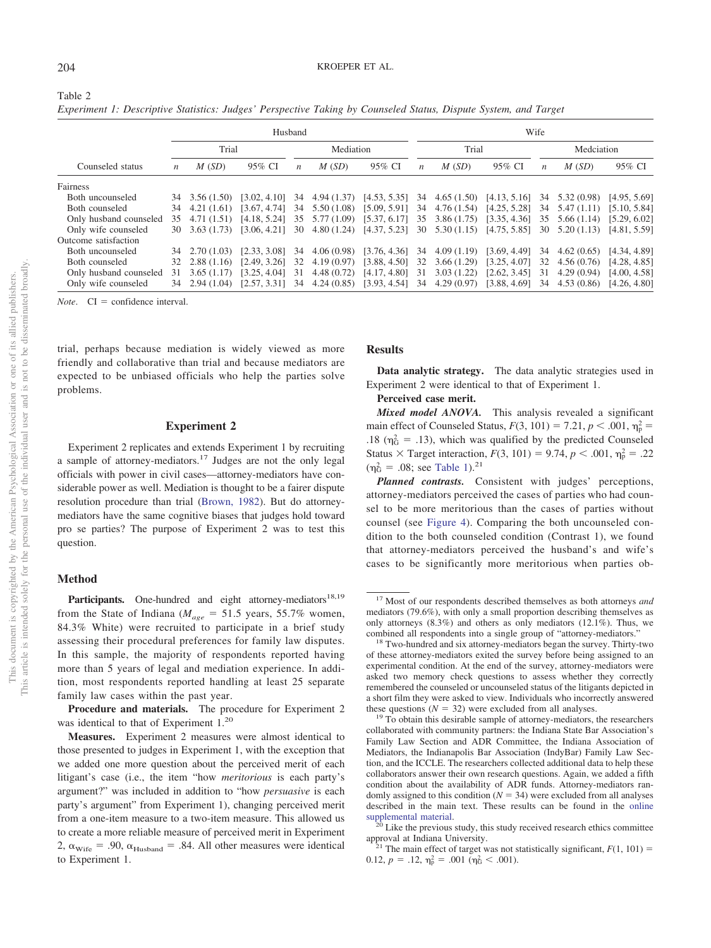<span id="page-6-0"></span>Table 2

|                        |       |                        | Husband      |                  |             | Wife                        |                  |                |                             |                  |                             |                             |  |
|------------------------|-------|------------------------|--------------|------------------|-------------|-----------------------------|------------------|----------------|-----------------------------|------------------|-----------------------------|-----------------------------|--|
|                        | Trial |                        |              |                  | Mediation   |                             |                  | Trial          |                             | Medciation       |                             |                             |  |
| Counseled status       | n     | M(SD)                  | 95% CI       | $\boldsymbol{n}$ | M(SD)       | 95% CI                      | $\boldsymbol{n}$ | M(SD)          | 95% CI                      | $\boldsymbol{n}$ | M(SD)                       | 95% CI                      |  |
| Fairness               |       |                        |              |                  |             |                             |                  |                |                             |                  |                             |                             |  |
| Both uncounseled       |       | 3.56(1.50)             | [3.02, 4.10] | 34               |             | $4.94(1.37)$ $[4.53, 5.35]$ | 34               | 4.65(1.50)     | [4.13, 5.16]                | 34               | $5.32(0.98)$ [4.95, 5.69]   |                             |  |
| Both counseled         |       | 34 4.21 (1.61)         | [3.67, 4.74] | 34               | 5.50 (1.08) | [5.09, 5.91]                |                  | 34 4.76 (1.54) | [4.25, 5.28]                |                  | 34 5.47 (1.11) [5.10, 5.84] |                             |  |
| Only husband counseled |       | 35 4.71 (1.51)         | [4.18, 5.24] | 35               | 5.77 (1.09) | [5.37, 6.17]                | 35               | 3.86 (1.75)    | [3.35, 4.36]                | 35               | $5.66(1.14)$ $[5.29, 6.02]$ |                             |  |
| Only wife counseled    |       | $30\quad 3.63\ (1.73)$ | [3.06, 4.21] | 30               | 4.80(1.24)  | [4.37, 5.23]                | 30               | 5.30(1.15)     | [4.75, 5.85]                | 30               |                             | $5.20(1.13)$ $[4.81, 5.59]$ |  |
| Outcome satisfaction   |       |                        |              |                  |             |                             |                  |                |                             |                  |                             |                             |  |
| Both uncounseled       | 34    | 2.70(1.03)             | [2.33, 3.08] | 34               | 4.06(0.98)  | [3.76, 4.36]                | 34               | 4.09(1.19)     | [3.69, 4.49]                | 34               | 4.62(0.65)                  | [4.34, 4.89]                |  |
| Both counseled         | 32    | 2.88(1.16)             | [2.49, 3.26] | 32               | 4.19(0.97)  | [3.88, 4.50]                | 32               | 3.66(1.29)     | [3.25, 4.07]                | 32               | 4.56(0.76)                  | [4.28, 4.85]                |  |
| Only husband counseled | 31    | 3.65(1.17)             | [3.25, 4.04] | 31               | 4.48(0.72)  | [4.17, 4.80]                | 31               | 3.03(1.22)     | [2.62, 3.45]                | 31               | 4.29(0.94)                  | [4.00, 4.58]                |  |
| Only wife counseled    |       | 34 2.94 (1.04)         | [2.57, 3.31] |                  |             | 34 4.24 (0.85) [3.93, 4.54] |                  |                | 34 4.29 (0.97) [3.88, 4.69] |                  | 34 4.53 (0.86) [4.26, 4.80] |                             |  |

*Experiment 1: Descriptive Statistics: Judges' Perspective Taking by Counseled Status, Dispute System, and Target*

 $Note$   $CI = confidence interval$ 

trial, perhaps because mediation is widely viewed as more friendly and collaborative than trial and because mediators are expected to be unbiased officials who help the parties solve problems.

### **Experiment 2**

Experiment 2 replicates and extends Experiment 1 by recruiting a sample of attorney-mediators.17 Judges are not the only legal officials with power in civil cases—attorney-mediators have considerable power as well. Mediation is thought to be a fairer dispute resolution procedure than trial [\(Brown, 1982\)](#page-13-8). But do attorneymediators have the same cognitive biases that judges hold toward pro se parties? The purpose of Experiment 2 was to test this question.

# **Method**

Participants. One-hundred and eight attorney-mediators<sup>18,19</sup> from the State of Indiana ( $M_{age} = 51.5$  years, 55.7% women, 84.3% White) were recruited to participate in a brief study assessing their procedural preferences for family law disputes. In this sample, the majority of respondents reported having more than 5 years of legal and mediation experience. In addition, most respondents reported handling at least 25 separate family law cases within the past year.

**Procedure and materials.** The procedure for Experiment 2 was identical to that of Experiment 1.20

#### **Results**

**Data analytic strategy.** The data analytic strategies used in Experiment 2 were identical to that of Experiment 1.

#### **Perceived case merit.**

*Mixed model ANOVA.* This analysis revealed a significant main effect of Counseled Status,  $F(3, 101) = 7.21$ ,  $p < .001$ ,  $\eta_p^2 =$ .18 ( $\eta_G^2$  = .13), which was qualified by the predicted Counseled Status  $\times$  Target interaction,  $F(3, 101) = 9.74$ ,  $p < .001$ ,  $\eta_p^2 = .22$  $(\eta_G^2 = .08; \text{ see Table 1}).^{21}$ 

*Planned contrasts.* Consistent with judges' perceptions, attorney-mediators perceived the cases of parties who had counsel to be more meritorious than the cases of parties without counsel (see [Figure 4\)](#page-9-1). Comparing the both uncounseled condition to the both counseled condition (Contrast 1), we found that attorney-mediators perceived the husband's and wife's cases to be significantly more meritorious when parties ob-

**Measures.** Experiment 2 measures were almost identical to those presented to judges in Experiment 1, with the exception that we added one more question about the perceived merit of each litigant's case (i.e., the item "how *meritorious* is each party's argument?" was included in addition to "how *persuasive* is each party's argument" from Experiment 1), changing perceived merit from a one-item measure to a two-item measure. This allowed us to create a more reliable measure of perceived merit in Experiment 2,  $\alpha_{\text{Wire}}$  = .90,  $\alpha_{\text{Husband}}$  = .84. All other measures were identical to Experiment 1.

<sup>17</sup> Most of our respondents described themselves as both attorneys *and* mediators (79.6%), with only a small proportion describing themselves as only attorneys (8.3%) and others as only mediators (12.1%). Thus, we combined all respondents into a single group of "attorney-mediators." <sup>18</sup> Two-hundred and six attorney-mediators began the survey. Thirty-two

of these attorney-mediators exited the survey before being assigned to an experimental condition. At the end of the survey, attorney-mediators were asked two memory check questions to assess whether they correctly remembered the counseled or uncounseled status of the litigants depicted in a short film they were asked to view. Individuals who incorrectly answered these questions ( $N = 32$ ) were excluded from all analyses.<br><sup>19</sup> To obtain this desirable sample of attorney-mediators, the researchers

collaborated with community partners: the Indiana State Bar Association's Family Law Section and ADR Committee, the Indiana Association of Mediators, the Indianapolis Bar Association (IndyBar) Family Law Section, and the ICCLE. The researchers collected additional data to help these collaborators answer their own research questions. Again, we added a fifth condition about the availability of ADR funds. Attorney-mediators randomly assigned to this condition  $(N = 34)$  were excluded from all analyses described in the main text. These results can be found in the [online](http://dx.doi.org/10.1037/law0000229.supp)

[supplemental material.](http://dx.doi.org/10.1037/law0000229.supp) <sup>20</sup> Like the previous study, this study received research ethics committee approval at Indiana University.

<sup>&</sup>lt;sup>21</sup> The main effect of target was not statistically significant,  $F(1, 101) =$ 0.12,  $p = .12$ ,  $\eta_p^2 = .001$  ( $\eta_G^2 < .001$ ).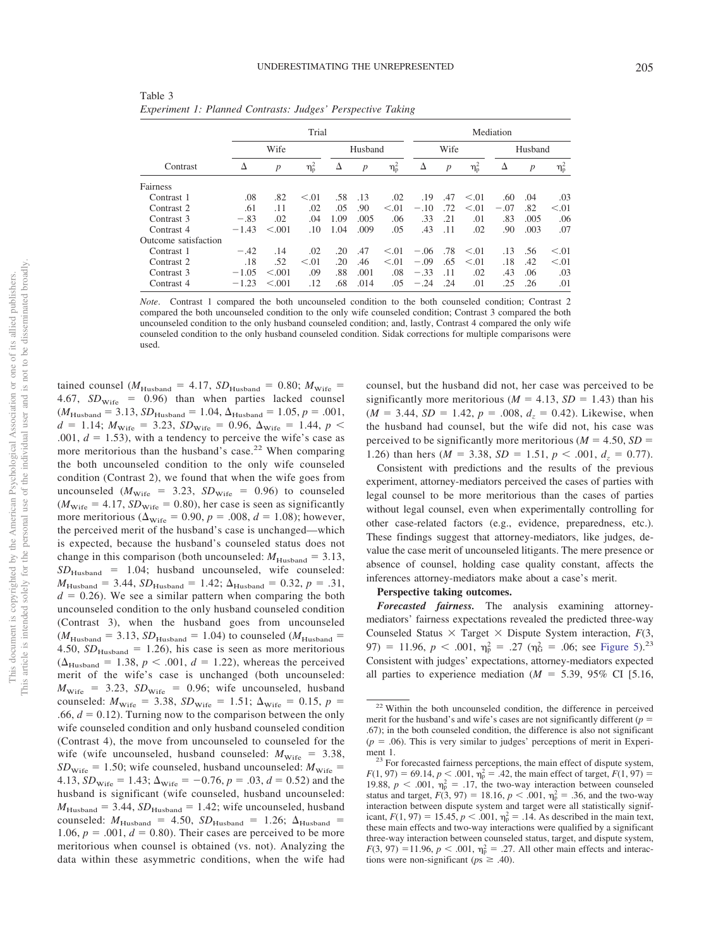| I<br>×<br>۰, | I<br>×<br>۰. |
|--------------|--------------|

|                      |         |                  | Trial      |      |                  | Mediation  |        |                  |            |         |                  |            |
|----------------------|---------|------------------|------------|------|------------------|------------|--------|------------------|------------|---------|------------------|------------|
|                      | Wife    |                  |            |      | Husband          |            |        | Wife             |            | Husband |                  |            |
| Contrast             | Δ       | $\boldsymbol{p}$ | $\eta_p^2$ | Δ    | $\boldsymbol{p}$ | $\eta_p^2$ | Δ      | $\boldsymbol{p}$ | $\eta_p^2$ | Δ       | $\boldsymbol{p}$ | $\eta_p^2$ |
| Fairness             |         |                  |            |      |                  |            |        |                  |            |         |                  |            |
| Contrast 1           | .08     | .82              | < 0.01     | .58  | .13              | .02        | .19    | .47              | < 0.01     | .60     | .04              | .03        |
| Contrast 2           | .61     | .11              | .02        | .05  | .90              | < 0.01     | $-.10$ | .72              | < 0.01     | $-.07$  | .82              | < 0.01     |
| Contrast 3           | $-.83$  | .02              | .04        | 1.09 | .005             | .06        | .33    | .21              | .01        | .83     | .005             | .06        |
| Contrast 4           | $-1.43$ | < 0.01           | .10        | 1.04 | .009             | .05        | .43    | .11              | .02        | .90     | .003             | .07        |
| Outcome satisfaction |         |                  |            |      |                  |            |        |                  |            |         |                  |            |
| Contrast 1           | $-.42$  | .14              | .02        | .20  | .47              | < 0.01     | $-.06$ | .78              | < 0.01     | .13     | .56              | < 0.01     |
| Contrast 2           | .18     | .52              | < 0.01     | .20  | .46              | < 0.01     | $-.09$ | .65              | < 0.01     | .18     | .42              | < 0.01     |
| Contrast 3           | $-1.05$ | < 0.001          | .09        | .88  | .001             | .08        | $-.33$ | .11              | .02        | .43     | .06              | .03        |
| Contrast 4           | $-1.23$ | < 0.01           | .12        | .68  | .014             | .05        | $-.24$ | .24              | .01        | .25     | .26              | .01        |

<span id="page-7-0"></span>Table 3 *Experiment 1: Planned Contrasts: Judges' Perspective Taking*

*Note*. Contrast 1 compared the both uncounseled condition to the both counseled condition; Contrast 2 compared the both uncounseled condition to the only wife counseled condition; Contrast 3 compared the both uncounseled condition to the only husband counseled condition; and, lastly, Contrast 4 compared the only wife counseled condition to the only husband counseled condition. Sidak corrections for multiple comparisons were used.

tained counsel ( $M_{\text{Husband}}$  = 4.17,  $SD_{\text{Husband}}$  = 0.80;  $M_{\text{wire}}$  = 4.67,  $SD<sub>wire</sub> = 0.96$ ) than when parties lacked counsel  $(M_{\text{Husband}} = 3.13, SD_{\text{Husband}} = 1.04, \Delta_{\text{Husband}} = 1.05, p = .001,$  $d = 1.14$ ;  $M_{\text{Wire}} = 3.23$ ,  $SD_{\text{Wire}} = 0.96$ ,  $\Delta_{\text{Wire}} = 1.44$ ,  $p <$ .001,  $d = 1.53$ ), with a tendency to perceive the wife's case as more meritorious than the husband's case.<sup>22</sup> When comparing the both uncounseled condition to the only wife counseled condition (Contrast 2), we found that when the wife goes from uncounseled ( $M_{\text{Wire}}$  = 3.23,  $SD_{\text{Wire}}$  = 0.96) to counseled  $(M<sub>wire</sub> = 4.17, SD<sub>wire</sub> = 0.80)$ , her case is seen as significantly more meritorious ( $\Delta_{\text{wire}} = 0.90, p = .008, d = 1.08$ ); however, the perceived merit of the husband's case is unchanged—which is expected, because the husband's counseled status does not change in this comparison (both uncounseled:  $M_{\text{Hussband}} = 3.13$ ,  $SD_{Husband}$  = 1.04; husband uncounseled, wife counseled:  $M_{\text{Husband}} = 3.44$ ,  $SD_{\text{Husband}} = 1.42$ ;  $\Delta_{\text{Husband}} = 0.32$ ,  $p = .31$ ,  $d = 0.26$ ). We see a similar pattern when comparing the both uncounseled condition to the only husband counseled condition (Contrast 3), when the husband goes from uncounseled  $(M_{\text{Husband}} = 3.13, SD_{\text{Husband}} = 1.04)$  to counseled  $(M_{\text{Husband}} =$ 4.50,  $SD_{Hushand}$  = 1.26), his case is seen as more meritorious  $(\Delta_{\text{Husband}} = 1.38, p < .001, d = 1.22)$ , whereas the perceived merit of the wife's case is unchanged (both uncounseled:  $M_{\text{wire}}$  = 3.23, *SD*<sub>Wife</sub> = 0.96; wife uncounseled, husband counseled:  $M_{\text{wire}} = 3.38$ ,  $SD_{\text{wire}} = 1.51$ ;  $\Delta_{\text{wire}} = 0.15$ ,  $p =$ .66,  $d = 0.12$ ). Turning now to the comparison between the only wife counseled condition and only husband counseled condition (Contrast 4), the move from uncounseled to counseled for the wife (wife uncounseled, husband counseled:  $M_{\text{wire}} = 3.38$ ,  $SD<sub>wire</sub> = 1.50$ ; wife counseled, husband uncounseled:  $M<sub>wire</sub> =$ 4.13,  $SD_{\text{Wire}} = 1.43$ ;  $\Delta_{\text{Wire}} = -0.76$ ,  $p = .03$ ,  $d = 0.52$ ) and the husband is significant (wife counseled, husband uncounseled:  $M_{\text{Husband}} = 3.44$ ,  $SD_{\text{Husband}} = 1.42$ ; wife uncounseled, husband counseled:  $M_{\text{Husband}}$  = 4.50,  $SD_{\text{Husband}}$  = 1.26;  $\Delta_{\text{Husband}}$  = 1.06,  $p = .001$ ,  $d = 0.80$ ). Their cases are perceived to be more meritorious when counsel is obtained (vs. not). Analyzing the data within these asymmetric conditions, when the wife had counsel, but the husband did not, her case was perceived to be significantly more meritorious ( $M = 4.13$ ,  $SD = 1.43$ ) than his  $(M = 3.44, SD = 1.42, p = .008, d<sub>z</sub> = 0.42)$ . Likewise, when the husband had counsel, but the wife did not, his case was perceived to be significantly more meritorious ( $M = 4.50$ ,  $SD =$ 1.26) than hers ( $M = 3.38$ ,  $SD = 1.51$ ,  $p < .001$ ,  $d_z = 0.77$ ).

Consistent with predictions and the results of the previous experiment, attorney-mediators perceived the cases of parties with legal counsel to be more meritorious than the cases of parties without legal counsel, even when experimentally controlling for other case-related factors (e.g., evidence, preparedness, etc.). These findings suggest that attorney-mediators, like judges, devalue the case merit of uncounseled litigants. The mere presence or absence of counsel, holding case quality constant, affects the inferences attorney-mediators make about a case's merit.

#### **Perspective taking outcomes.**

*Forecasted fairness.* The analysis examining attorneymediators' fairness expectations revealed the predicted three-way Counseled Status  $\times$  Target  $\times$  Dispute System interaction,  $F(3)$ , 97) = 11.96,  $p < .001$ ,  $\eta_{\rm p}^2 = .27$  ( $\eta_{\rm G}^2 = .06$ ; see [Figure 5\)](#page-10-0).<sup>23</sup> Consistent with judges' expectations, attorney-mediators expected all parties to experience mediation ( $M = 5.39$ , 95% CI [5.16,

<sup>&</sup>lt;sup>22</sup> Within the both uncounseled condition, the difference in perceived merit for the husband's and wife's cases are not significantly different ( $p =$ .67); in the both counseled condition, the difference is also not significant  $(p = .06)$ . This is very similar to judges' perceptions of merit in Experiment 1.

<sup>&</sup>lt;sup>23</sup> For forecasted fairness perceptions, the main effect of dispute system,  $F(1, 97) = 69.14, p < .001, \eta_p^2 = .42$ , the main effect of target,  $F(1, 97) =$ 19.88,  $p < .001$ ,  $\eta_p^2 = .17$ , the two-way interaction between counseled status and target,  $F(3, 97) = 18.16$ ,  $p < .001$ ,  $\eta_p^2 = .36$ , and the two-way interaction between dispute system and target were all statistically significant,  $F(1, 97) = 15.45$ ,  $p < .001$ ,  $\eta_p^2 = .14$ . As described in the main text, these main effects and two-way interactions were qualified by a significant three-way interaction between counseled status, target, and dispute system,  $F(3, 97) = 11.96$ ,  $p < .001$ ,  $\eta_p^2 = .27$ . All other main effects and interactions were non-significant ( $ps \ge .40$ ).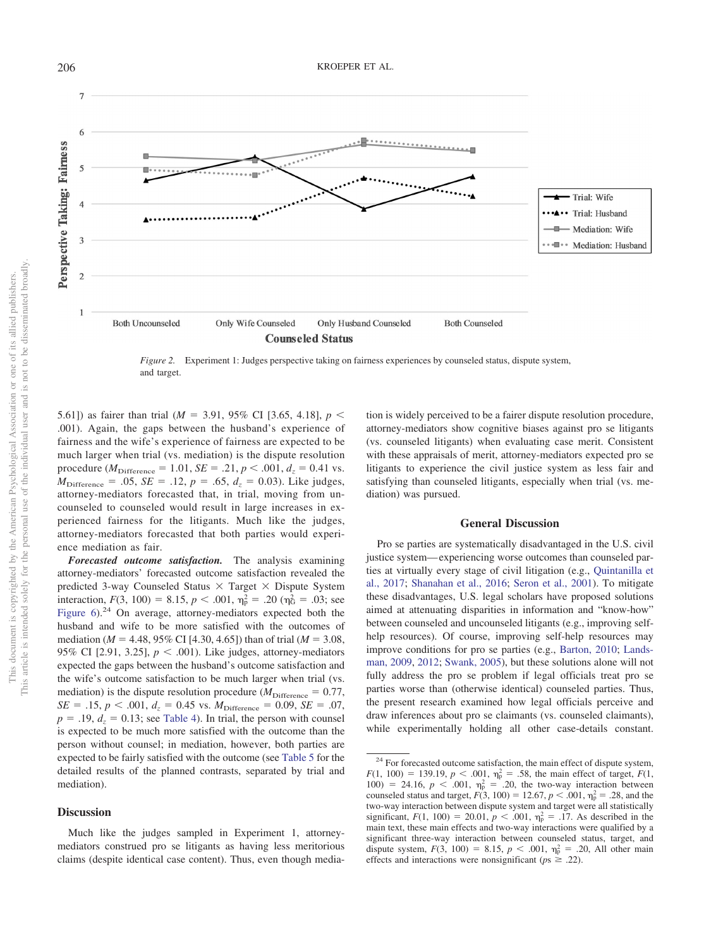

<span id="page-8-0"></span>*Figure 2.* Experiment 1: Judges perspective taking on fairness experiences by counseled status, dispute system, and target.

5.61]) as fairer than trial ( $M = 3.91$ , 95% CI [3.65, 4.18],  $p <$ .001). Again, the gaps between the husband's experience of fairness and the wife's experience of fairness are expected to be much larger when trial (vs. mediation) is the dispute resolution procedure ( $M_{\text{Difference}} = 1.01$ ,  $SE = .21$ ,  $p < .001$ ,  $d_z = 0.41$  vs.  $M_{\text{Difference}} = .05$ , *SE* = .12, *p* = .65,  $d_z = 0.03$ ). Like judges, attorney-mediators forecasted that, in trial, moving from uncounseled to counseled would result in large increases in experienced fairness for the litigants. Much like the judges, attorney-mediators forecasted that both parties would experience mediation as fair.

*Forecasted outcome satisfaction.* The analysis examining attorney-mediators' forecasted outcome satisfaction revealed the predicted 3-way Counseled Status  $\times$  Target  $\times$  Dispute System interaction,  $F(3, 100) = 8.15$ ,  $p < .001$ ,  $\eta_p^2 = .20$  ( $\eta_G^2 = .03$ ; see [Figure 6\)](#page-10-1).<sup>24</sup> On average, attorney-mediators expected both the husband and wife to be more satisfied with the outcomes of mediation ( $M = 4.48$ , 95% CI [4.30, 4.65]) than of trial ( $M = 3.08$ , 95% CI [2.91, 3.25],  $p < .001$ ). Like judges, attorney-mediators expected the gaps between the husband's outcome satisfaction and the wife's outcome satisfaction to be much larger when trial (vs. mediation) is the dispute resolution procedure ( $M_{\text{Difference}} = 0.77$ ,  $SE = .15$ ,  $p < .001$ ,  $d_z = 0.45$  vs.  $M_{\text{Difference}} = 0.09$ ,  $SE = .07$ ,  $p = .19$ ,  $d<sub>z</sub> = 0.13$ ; see [Table 4\)](#page-11-0). In trial, the person with counsel is expected to be much more satisfied with the outcome than the person without counsel; in mediation, however, both parties are expected to be fairly satisfied with the outcome (see [Table 5](#page-11-1) for the detailed results of the planned contrasts, separated by trial and mediation).

## **Discussion**

Much like the judges sampled in Experiment 1, attorneymediators construed pro se litigants as having less meritorious claims (despite identical case content). Thus, even though media-

tion is widely perceived to be a fairer dispute resolution procedure, attorney-mediators show cognitive biases against pro se litigants (vs. counseled litigants) when evaluating case merit. Consistent with these appraisals of merit, attorney-mediators expected pro se litigants to experience the civil justice system as less fair and satisfying than counseled litigants, especially when trial (vs. mediation) was pursued.

#### **General Discussion**

Pro se parties are systematically disadvantaged in the U.S. civil justice system— experiencing worse outcomes than counseled parties at virtually every stage of civil litigation (e.g., [Quintanilla et](#page-14-5) [al., 2017;](#page-14-5) [Shanahan et al., 2016;](#page-14-7) [Seron et al., 2001\)](#page-14-6). To mitigate these disadvantages, U.S. legal scholars have proposed solutions aimed at attenuating disparities in information and "know-how" between counseled and uncounseled litigants (e.g., improving selfhelp resources). Of course, improving self-help resources may improve conditions for pro se parties (e.g., [Barton, 2010;](#page-13-2) [Lands](#page-14-21)[man, 2009,](#page-14-21) [2012;](#page-14-22) [Swank, 2005\)](#page-14-23), but these solutions alone will not fully address the pro se problem if legal officials treat pro se parties worse than (otherwise identical) counseled parties. Thus, the present research examined how legal officials perceive and draw inferences about pro se claimants (vs. counseled claimants), while experimentally holding all other case-details constant.

<sup>&</sup>lt;sup>24</sup> For forecasted outcome satisfaction, the main effect of dispute system,  $F(1, 100) = 139.19, p < .001, \eta_p^2 = .58$ , the main effect of target,  $F(1, 100) = 139.19$ ,  $p < .001$ ,  $\eta_p^2 = .58$ , the main effect of target,  $F(1, 100) = 139.19$ ,  $p < .001$ ,  $\eta_p^2 = .58$ , the main effect of target,  $F(1, 100) = .00$ 100) = 24.16,  $p < .001$ ,  $\eta_p^2 = .20$ , the two-way interaction between counseled status and target,  $F(3, 100) = 12.67, p < .001, \eta_{p}^{2} = .28$ , and the two-way interaction between dispute system and target were all statistically significant,  $F(1, 100) = 20.01$ ,  $p < .001$ ,  $\eta_p^2 = .17$ . As described in the main text, these main effects and two-way interactions were qualified by a significant three-way interaction between counseled status, target, and dispute system,  $F(3, 100) = 8.15$ ,  $p < .001$ ,  $\eta_p^2 = .20$ , All other main effects and interactions were nonsignificant ( $ps \geq .22$ ).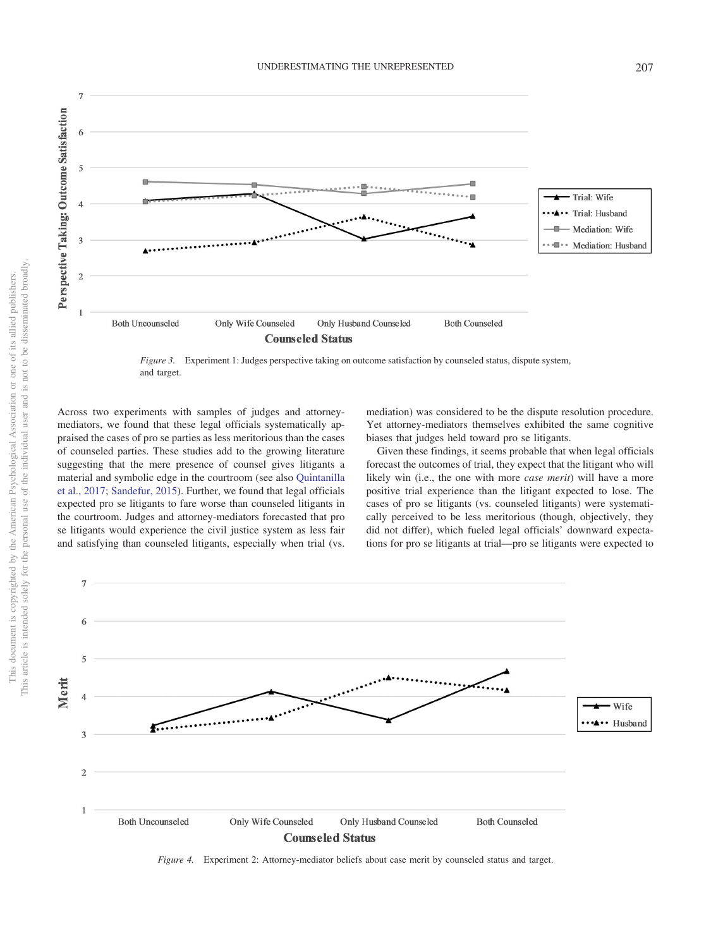**I** · Mediation: Husband **Both Uncounseled** Only Wife Counseled Only Husband Counseled **Both Counseled Counseled Status** 

<span id="page-9-0"></span>*Figure 3.* Experiment 1: Judges perspective taking on outcome satisfaction by counseled status, dispute system, and target.

Across two experiments with samples of judges and attorneymediators, we found that these legal officials systematically appraised the cases of pro se parties as less meritorious than the cases of counseled parties. These studies add to the growing literature suggesting that the mere presence of counsel gives litigants a material and symbolic edge in the courtroom (see also [Quintanilla](#page-14-5) [et al., 2017;](#page-14-5) [Sandefur, 2015\)](#page-14-10). Further, we found that legal officials expected pro se litigants to fare worse than counseled litigants in the courtroom. Judges and attorney-mediators forecasted that pro se litigants would experience the civil justice system as less fair and satisfying than counseled litigants, especially when trial (vs. mediation) was considered to be the dispute resolution procedure. Yet attorney-mediators themselves exhibited the same cognitive biases that judges held toward pro se litigants.

Given these findings, it seems probable that when legal officials forecast the outcomes of trial, they expect that the litigant who will likely win (i.e., the one with more *case merit*) will have a more positive trial experience than the litigant expected to lose. The cases of pro se litigants (vs. counseled litigants) were systematically perceived to be less meritorious (though, objectively, they did not differ), which fueled legal officials' downward expectations for pro se litigants at trial—pro se litigants were expected to



<span id="page-9-1"></span>*Figure 4.* Experiment 2: Attorney-mediator beliefs about case merit by counseled status and target.

 $\overline{7}$ 

5

 $\overline{A}$ 

3

 $\overline{2}$ 

Perspective Taking: Outcome Satisfaction

Trial: Wife

Trial: Husband Mediation: Wife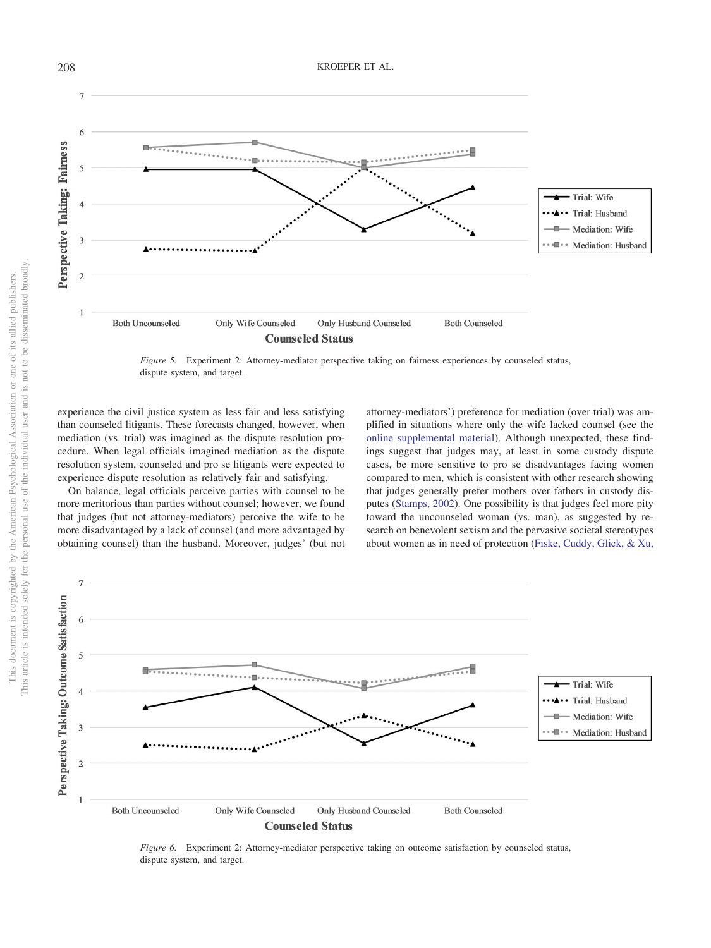

<span id="page-10-0"></span>*Figure 5.* Experiment 2: Attorney-mediator perspective taking on fairness experiences by counseled status, dispute system, and target.

experience the civil justice system as less fair and less satisfying than counseled litigants. These forecasts changed, however, when mediation (vs. trial) was imagined as the dispute resolution procedure. When legal officials imagined mediation as the dispute resolution system, counseled and pro se litigants were expected to experience dispute resolution as relatively fair and satisfying.

On balance, legal officials perceive parties with counsel to be more meritorious than parties without counsel; however, we found that judges (but not attorney-mediators) perceive the wife to be more disadvantaged by a lack of counsel (and more advantaged by obtaining counsel) than the husband. Moreover, judges' (but not

attorney-mediators') preference for mediation (over trial) was amplified in situations where only the wife lacked counsel (see the [online supplemental material\)](http://dx.doi.org/10.1037/law0000229.supp). Although unexpected, these findings suggest that judges may, at least in some custody dispute cases, be more sensitive to pro se disadvantages facing women compared to men, which is consistent with other research showing that judges generally prefer mothers over fathers in custody disputes [\(Stamps, 2002\)](#page-14-27). One possibility is that judges feel more pity toward the uncounseled woman (vs. man), as suggested by research on benevolent sexism and the pervasive societal stereotypes about women as in need of protection [\(Fiske, Cuddy, Glick, & Xu,](#page-13-10)



<span id="page-10-1"></span>*Figure 6.* Experiment 2: Attorney-mediator perspective taking on outcome satisfaction by counseled status, dispute system, and target.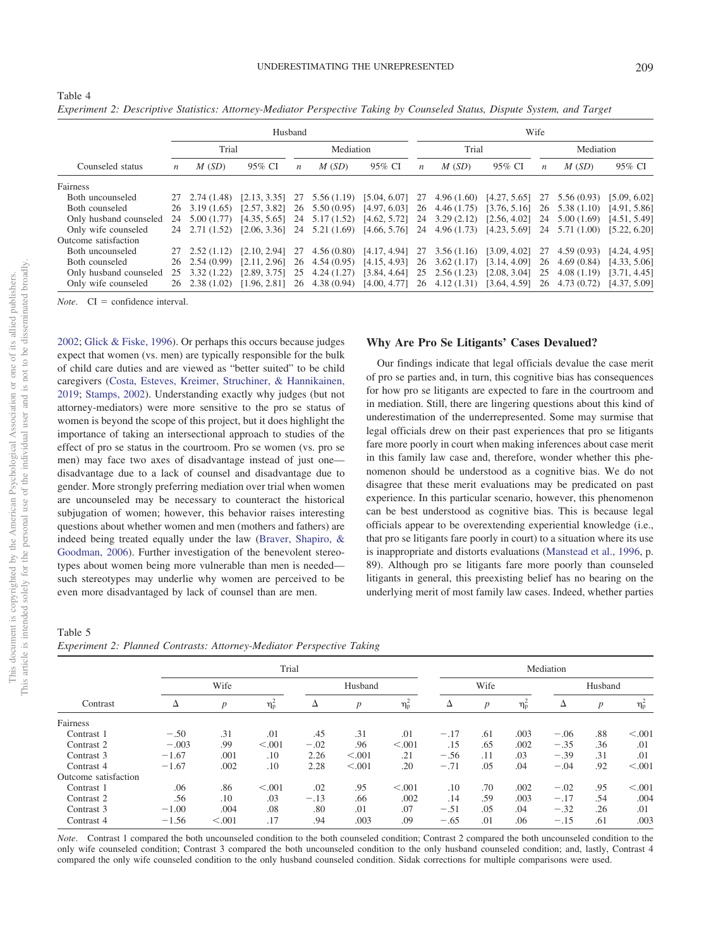| Husband                |       |                              |              |                  |             |                                             |                  | Wife       |                               |                  |                |              |  |  |  |
|------------------------|-------|------------------------------|--------------|------------------|-------------|---------------------------------------------|------------------|------------|-------------------------------|------------------|----------------|--------------|--|--|--|
|                        | Trial |                              |              | Mediation        |             |                                             | Trial            |            |                               |                  | Mediation      |              |  |  |  |
| Counseled status       | n     | M(SD)                        | 95% CI       | $\boldsymbol{n}$ | M(SD)       | 95% CI                                      | $\boldsymbol{n}$ | M(SD)      | 95% CI                        | $\boldsymbol{n}$ | M(SD)          | 95% CI       |  |  |  |
| Fairness               |       |                              |              |                  |             |                                             |                  |            |                               |                  |                |              |  |  |  |
| Both uncounseled       | 27    | 2.74(1.48)                   | [2.13, 3.35] | 27               | 5.56 (1.19) | [5.04, 6.07]                                | 27               | 4.96(1.60) | [4.27, 5.65]                  | 27               | 5.56(0.93)     | [5.09, 6.02] |  |  |  |
| Both counseled         |       | $26 \quad 3.19 \quad (1.65)$ | [2.57, 3.82] | 26               | 5.50(0.95)  | $[4.97, 6.03]$ 26 4.46 (1.75)               |                  |            | $[3.76, 5.16]$ 26 5.38 (1.10) |                  |                | [4.91, 5.86] |  |  |  |
| Only husband counseled | 24    | 5.00(1.77)                   | [4.35, 5.65] | 24               | 5.17(1.52)  | $[4.62, 5.72]$ 24 3.29 (2.12)               |                  |            | $[2.56, 4.02]$ 24             |                  | 5.00(1.69)     | [4.51, 5.49] |  |  |  |
| Only wife counseled    |       | 24 2.71 (1.52)               | [2.06, 3.36] | 24               |             | $5.21(1.69)$ $[4.66, 5.76]$ 24 $4.96(1.73)$ |                  |            | $[4.23, 5.69]$ 24 5.71 (1.00) |                  |                | [5.22, 6.20] |  |  |  |
| Outcome satisfaction   |       |                              |              |                  |             |                                             |                  |            |                               |                  |                |              |  |  |  |
| Both uncounseled       | 27    | 2.52(1.12)                   | [2.10, 2.94] | 27               |             | $4.56(0.80)$ $[4.17, 4.94]$ 27 $3.56(1.16)$ |                  |            | $[3.09, 4.02]$ 27             |                  | 4.59(0.93)     | [4.24, 4.95] |  |  |  |
| Both counseled         |       | $26 \quad 2.54 \quad (0.99)$ | [2.11, 2.96] | 26               | 4.54(0.95)  | $[4.15, 4.93]$ 26 3.62 (1.17)               |                  |            | [3.14, 4.09]                  | 26               | 4.69(0.84)     | [4.33, 5.06] |  |  |  |
| Only husband counseled | 25    | 3.32(1.22)                   | [2.89, 3.75] | 25               | 4.24(1.27)  | $[3.84, 4.64]$ 25 2.56 (1.23)               |                  |            | [2.08, 3.04]                  | 25               | 4.08(1.19)     | [3.71, 4.45] |  |  |  |
| Only wife counseled    |       | $26$ $2.38$ $(1.02)$         | [1.96, 2.81] | 26               | 4.38(0.94)  | $[4.00, 4.77]$ 26 4.12 (1.31)               |                  |            | [3.64, 4.59]                  |                  | 26 4.73 (0.72) | [4.37, 5.09] |  |  |  |

*Experiment 2: Descriptive Statistics: Attorney-Mediator Perspective Taking by Counseled Status, Dispute System, and Target*

 $Note$   $CI = confidence interval$ 

<span id="page-11-0"></span>Table 4

[2002;](#page-13-10) [Glick & Fiske, 1996\)](#page-14-28). Or perhaps this occurs because judges expect that women (vs. men) are typically responsible for the bulk of child care duties and are viewed as "better suited" to be child caregivers [\(Costa, Esteves, Kreimer, Struchiner, & Hannikainen,](#page-13-11) [2019;](#page-13-11) [Stamps, 2002\)](#page-14-27). Understanding exactly why judges (but not attorney-mediators) were more sensitive to the pro se status of women is beyond the scope of this project, but it does highlight the importance of taking an intersectional approach to studies of the effect of pro se status in the courtroom. Pro se women (vs. pro se men) may face two axes of disadvantage instead of just one disadvantage due to a lack of counsel and disadvantage due to gender. More strongly preferring mediation over trial when women are uncounseled may be necessary to counteract the historical subjugation of women; however, this behavior raises interesting questions about whether women and men (mothers and fathers) are indeed being treated equally under the law [\(Braver, Shapiro, &](#page-13-12) [Goodman, 2006\)](#page-13-12). Further investigation of the benevolent stereotypes about women being more vulnerable than men is needed such stereotypes may underlie why women are perceived to be even more disadvantaged by lack of counsel than are men.

# **Why Are Pro Se Litigants' Cases Devalued?**

Our findings indicate that legal officials devalue the case merit of pro se parties and, in turn, this cognitive bias has consequences for how pro se litigants are expected to fare in the courtroom and in mediation. Still, there are lingering questions about this kind of underestimation of the underrepresented. Some may surmise that legal officials drew on their past experiences that pro se litigants fare more poorly in court when making inferences about case merit in this family law case and, therefore, wonder whether this phenomenon should be understood as a cognitive bias. We do not disagree that these merit evaluations may be predicated on past experience. In this particular scenario, however, this phenomenon can be best understood as cognitive bias. This is because legal officials appear to be overextending experiential knowledge (i.e., that pro se litigants fare poorly in court) to a situation where its use is inappropriate and distorts evaluations [\(Manstead et al., 1996,](#page-14-29) p. 89). Although pro se litigants fare more poorly than counseled litigants in general, this preexisting belief has no bearing on the underlying merit of most family law cases. Indeed, whether parties

<span id="page-11-1"></span>Table 5

| Experiment 2: Planned Contrasts: Attorney-Mediator Perspective Taking |  |  |  |  |
|-----------------------------------------------------------------------|--|--|--|--|
|                                                                       |  |  |  |  |

|                      |         |                  | Trial            |        |         | Mediation        |        |                  |                  |         |     |                                        |
|----------------------|---------|------------------|------------------|--------|---------|------------------|--------|------------------|------------------|---------|-----|----------------------------------------|
|                      |         | Wife             |                  |        | Husband |                  |        | Wife             |                  | Husband |     |                                        |
| Contrast             | Δ       | $\boldsymbol{p}$ | $\eta_{\rm p}^2$ | Δ      | p       | $\eta_{\rm p}^2$ | Δ      | $\boldsymbol{p}$ | $\eta_{\rm p}^2$ | Δ       | p   | $\eta_{\rm p}^{\scriptscriptstyle\pm}$ |
| Fairness             |         |                  |                  |        |         |                  |        |                  |                  |         |     |                                        |
| Contrast 1           | $-.50$  | .31              | .01              | .45    | .31     | .01              | $-.17$ | .61              | .003             | $-.06$  | .88 | < 0.001                                |
| Contrast 2           | $-.003$ | .99              | < 0.001          | $-.02$ | .96     | < 0.001          | .15    | .65              | .002             | $-.35$  | .36 | .01                                    |
| Contrast 3           | $-1.67$ | .001             | .10              | 2.26   | < 0.001 | .21              | $-.56$ | .11              | .03              | $-.39$  | .31 | .01                                    |
| Contrast 4           | $-1.67$ | .002             | .10              | 2.28   | < 0.001 | .20              | $-.71$ | .05              | .04              | $-.04$  | .92 | < 0.001                                |
| Outcome satisfaction |         |                  |                  |        |         |                  |        |                  |                  |         |     |                                        |
| Contrast 1           | .06     | .86              | < 0.001          | .02    | .95     | < 0.001          | .10    | .70              | .002             | $-.02$  | .95 | < 0.001                                |
| Contrast 2           | .56     | .10              | .03              | $-.13$ | .66     | .002             | .14    | .59              | .003             | $-.17$  | .54 | .004                                   |
| Contrast 3           | $-1.00$ | .004             | .08              | .80    | .01     | .07              | $-.51$ | .05              | .04              | $-.32$  | .26 | .01                                    |
| Contrast 4           | $-1.56$ | < 0.001          | .17              | .94    | .003    | .09              | $-.65$ | .01              | .06              | $-.15$  | .61 | .003                                   |

*Note*. Contrast 1 compared the both uncounseled condition to the both counseled condition; Contrast 2 compared the both uncounseled condition to the only wife counseled condition; Contrast 3 compared the both uncounseled condition to the only husband counseled condition; and, lastly, Contrast 4 compared the only wife counseled condition to the only husband counseled condition. Sidak corrections for multiple comparisons were used.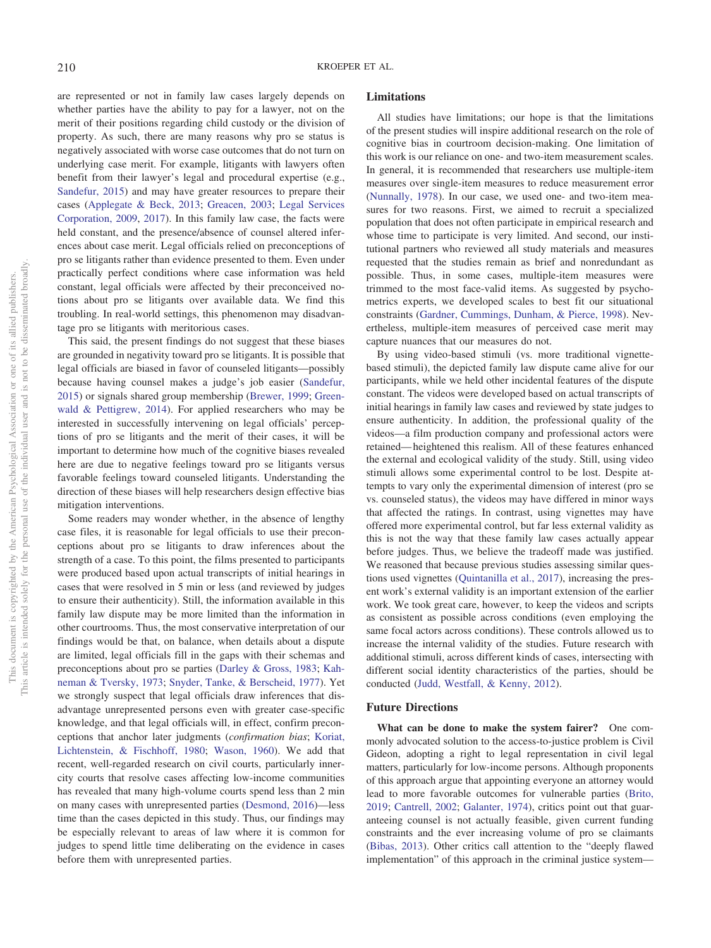are represented or not in family law cases largely depends on whether parties have the ability to pay for a lawyer, not on the merit of their positions regarding child custody or the division of property. As such, there are many reasons why pro se status is negatively associated with worse case outcomes that do not turn on underlying case merit. For example, litigants with lawyers often benefit from their lawyer's legal and procedural expertise (e.g., [Sandefur, 2015\)](#page-14-10) and may have greater resources to prepare their cases [\(Applegate & Beck, 2013;](#page-13-13) [Greacen, 2003;](#page-14-30) [Legal Services](#page-14-0) [Corporation, 2009,](#page-14-0) [2017\)](#page-14-1). In this family law case, the facts were held constant, and the presence/absence of counsel altered inferences about case merit. Legal officials relied on preconceptions of pro se litigants rather than evidence presented to them. Even under practically perfect conditions where case information was held constant, legal officials were affected by their preconceived notions about pro se litigants over available data. We find this troubling. In real-world settings, this phenomenon may disadvantage pro se litigants with meritorious cases.

This said, the present findings do not suggest that these biases are grounded in negativity toward pro se litigants. It is possible that legal officials are biased in favor of counseled litigants—possibly because having counsel makes a judge's job easier [\(Sandefur,](#page-14-10) [2015\)](#page-14-10) or signals shared group membership [\(Brewer, 1999;](#page-13-14) [Green](#page-14-31)[wald & Pettigrew, 2014\)](#page-14-31). For applied researchers who may be interested in successfully intervening on legal officials' perceptions of pro se litigants and the merit of their cases, it will be important to determine how much of the cognitive biases revealed here are due to negative feelings toward pro se litigants versus favorable feelings toward counseled litigants. Understanding the direction of these biases will help researchers design effective bias mitigation interventions.

Some readers may wonder whether, in the absence of lengthy case files, it is reasonable for legal officials to use their preconceptions about pro se litigants to draw inferences about the strength of a case. To this point, the films presented to participants were produced based upon actual transcripts of initial hearings in cases that were resolved in 5 min or less (and reviewed by judges to ensure their authenticity). Still, the information available in this family law dispute may be more limited than the information in other courtrooms. Thus, the most conservative interpretation of our findings would be that, on balance, when details about a dispute are limited, legal officials fill in the gaps with their schemas and preconceptions about pro se parties [\(Darley & Gross, 1983;](#page-13-15) [Kah](#page-14-32)[neman & Tversky, 1973;](#page-14-32) [Snyder, Tanke, & Berscheid, 1977\)](#page-14-33). Yet we strongly suspect that legal officials draw inferences that disadvantage unrepresented persons even with greater case-specific knowledge, and that legal officials will, in effect, confirm preconceptions that anchor later judgments (*confirmation bias*; [Koriat,](#page-14-34) [Lichtenstein, & Fischhoff, 1980;](#page-14-34) [Wason, 1960\)](#page-14-35). We add that recent, well-regarded research on civil courts, particularly innercity courts that resolve cases affecting low-income communities has revealed that many high-volume courts spend less than 2 min on many cases with unrepresented parties [\(Desmond, 2016\)](#page-13-16)—less time than the cases depicted in this study. Thus, our findings may be especially relevant to areas of law where it is common for judges to spend little time deliberating on the evidence in cases before them with unrepresented parties.

# **Limitations**

All studies have limitations; our hope is that the limitations of the present studies will inspire additional research on the role of cognitive bias in courtroom decision-making. One limitation of this work is our reliance on one- and two-item measurement scales. In general, it is recommended that researchers use multiple-item measures over single-item measures to reduce measurement error [\(Nunnally, 1978\)](#page-14-36). In our case, we used one- and two-item measures for two reasons. First, we aimed to recruit a specialized population that does not often participate in empirical research and whose time to participate is very limited. And second, our institutional partners who reviewed all study materials and measures requested that the studies remain as brief and nonredundant as possible. Thus, in some cases, multiple-item measures were trimmed to the most face-valid items. As suggested by psychometrics experts, we developed scales to best fit our situational constraints [\(Gardner, Cummings, Dunham, & Pierce, 1998\)](#page-14-37). Nevertheless, multiple-item measures of perceived case merit may capture nuances that our measures do not.

By using video-based stimuli (vs. more traditional vignettebased stimuli), the depicted family law dispute came alive for our participants, while we held other incidental features of the dispute constant. The videos were developed based on actual transcripts of initial hearings in family law cases and reviewed by state judges to ensure authenticity. In addition, the professional quality of the videos—a film production company and professional actors were retained— heightened this realism. All of these features enhanced the external and ecological validity of the study. Still, using video stimuli allows some experimental control to be lost. Despite attempts to vary only the experimental dimension of interest (pro se vs. counseled status), the videos may have differed in minor ways that affected the ratings. In contrast, using vignettes may have offered more experimental control, but far less external validity as this is not the way that these family law cases actually appear before judges. Thus, we believe the tradeoff made was justified. We reasoned that because previous studies assessing similar questions used vignettes [\(Quintanilla et al., 2017\)](#page-14-5), increasing the present work's external validity is an important extension of the earlier work. We took great care, however, to keep the videos and scripts as consistent as possible across conditions (even employing the same focal actors across conditions). These controls allowed us to increase the internal validity of the studies. Future research with additional stimuli, across different kinds of cases, intersecting with different social identity characteristics of the parties, should be conducted [\(Judd, Westfall, & Kenny, 2012\)](#page-14-38).

#### **Future Directions**

**What can be done to make the system fairer?** One commonly advocated solution to the access-to-justice problem is Civil Gideon, adopting a right to legal representation in civil legal matters, particularly for low-income persons. Although proponents of this approach argue that appointing everyone an attorney would lead to more favorable outcomes for vulnerable parties [\(Brito,](#page-13-17) [2019;](#page-13-17) [Cantrell, 2002;](#page-13-6) [Galanter, 1974\)](#page-14-18), critics point out that guaranteeing counsel is not actually feasible, given current funding constraints and the ever increasing volume of pro se claimants [\(Bibas, 2013\)](#page-13-18). Other critics call attention to the "deeply flawed implementation" of this approach in the criminal justice system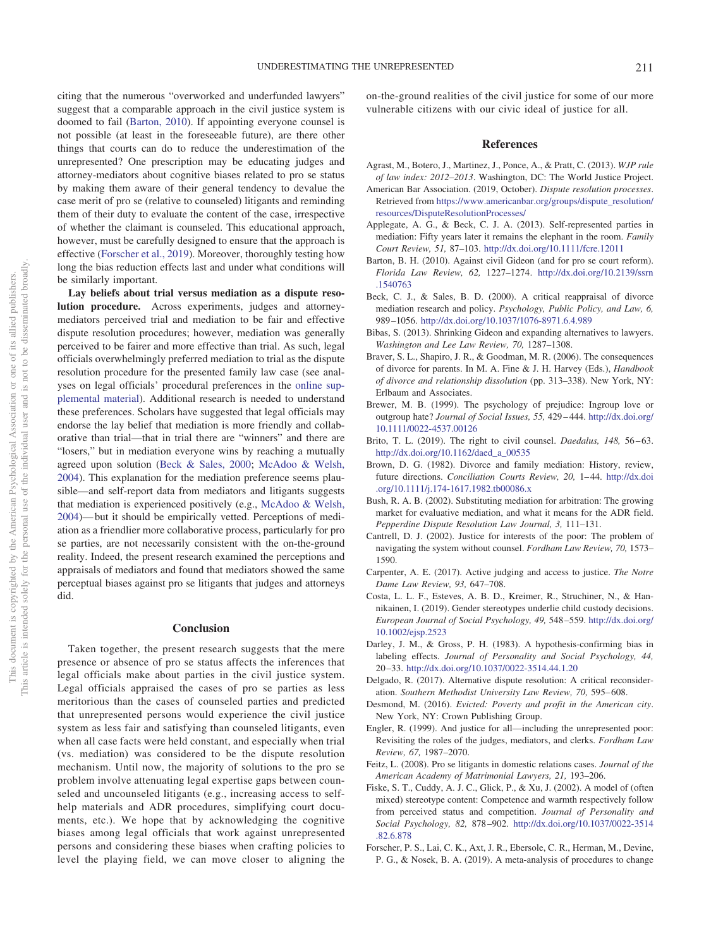citing that the numerous "overworked and underfunded lawyers" suggest that a comparable approach in the civil justice system is doomed to fail [\(Barton, 2010\)](#page-13-2). If appointing everyone counsel is not possible (at least in the foreseeable future), are there other things that courts can do to reduce the underestimation of the unrepresented? One prescription may be educating judges and attorney-mediators about cognitive biases related to pro se status by making them aware of their general tendency to devalue the case merit of pro se (relative to counseled) litigants and reminding them of their duty to evaluate the content of the case, irrespective of whether the claimant is counseled. This educational approach, however, must be carefully designed to ensure that the approach is effective [\(Forscher et al., 2019\)](#page-13-19). Moreover, thoroughly testing how long the bias reduction effects last and under what conditions will be similarly important.

**Lay beliefs about trial versus mediation as a dispute resolution procedure.** Across experiments, judges and attorneymediators perceived trial and mediation to be fair and effective dispute resolution procedures; however, mediation was generally perceived to be fairer and more effective than trial. As such, legal officials overwhelmingly preferred mediation to trial as the dispute resolution procedure for the presented family law case (see analyses on legal officials' procedural preferences in the [online sup](http://dx.doi.org/10.1037/law0000229.supp)[plemental material\)](http://dx.doi.org/10.1037/law0000229.supp). Additional research is needed to understand these preferences. Scholars have suggested that legal officials may endorse the lay belief that mediation is more friendly and collaborative than trial—that in trial there are "winners" and there are "losers," but in mediation everyone wins by reaching a mutually agreed upon solution [\(Beck & Sales, 2000;](#page-13-20) [McAdoo & Welsh,](#page-14-26) [2004\)](#page-14-26). This explanation for the mediation preference seems plausible—and self-report data from mediators and litigants suggests that mediation is experienced positively (e.g., [McAdoo & Welsh,](#page-14-26) [2004\)](#page-14-26)— but it should be empirically vetted. Perceptions of mediation as a friendlier more collaborative process, particularly for pro se parties, are not necessarily consistent with the on-the-ground reality. Indeed, the present research examined the perceptions and appraisals of mediators and found that mediators showed the same perceptual biases against pro se litigants that judges and attorneys did.

#### **Conclusion**

Taken together, the present research suggests that the mere presence or absence of pro se status affects the inferences that legal officials make about parties in the civil justice system. Legal officials appraised the cases of pro se parties as less meritorious than the cases of counseled parties and predicted that unrepresented persons would experience the civil justice system as less fair and satisfying than counseled litigants, even when all case facts were held constant, and especially when trial (vs. mediation) was considered to be the dispute resolution mechanism. Until now, the majority of solutions to the pro se problem involve attenuating legal expertise gaps between counseled and uncounseled litigants (e.g., increasing access to selfhelp materials and ADR procedures, simplifying court documents, etc.). We hope that by acknowledging the cognitive biases among legal officials that work against unrepresented persons and considering these biases when crafting policies to level the playing field, we can move closer to aligning the on-the-ground realities of the civil justice for some of our more vulnerable citizens with our civic ideal of justice for all.

# **References**

- <span id="page-13-0"></span>Agrast, M., Botero, J., Martinez, J., Ponce, A., & Pratt, C. (2013). *WJP rule of law index: 2012–2013*. Washington, DC: The World Justice Project.
- <span id="page-13-7"></span>American Bar Association. (2019, October). *Dispute resolution processes*. Retrieved from [https://www.americanbar.org/groups/dispute\\_resolution/](https://www.americanbar.org/groups/dispute_resolution/resources/DisputeResolutionProcesses/) [resources/DisputeResolutionProcesses/](https://www.americanbar.org/groups/dispute_resolution/resources/DisputeResolutionProcesses/)
- <span id="page-13-13"></span>Applegate, A. G., & Beck, C. J. A. (2013). Self-represented parties in mediation: Fifty years later it remains the elephant in the room. *Family Court Review, 51,* 87–103. <http://dx.doi.org/10.1111/fcre.12011>
- <span id="page-13-2"></span>Barton, B. H. (2010). Against civil Gideon (and for pro se court reform). *Florida Law Review, 62,* 1227–1274. [http://dx.doi.org/10.2139/ssrn](http://dx.doi.org/10.2139/ssrn.1540763) [.1540763](http://dx.doi.org/10.2139/ssrn.1540763)
- <span id="page-13-20"></span>Beck, C. J., & Sales, B. D. (2000). A critical reappraisal of divorce mediation research and policy. *Psychology, Public Policy, and Law, 6,* 989 –1056. <http://dx.doi.org/10.1037/1076-8971.6.4.989>
- <span id="page-13-18"></span>Bibas, S. (2013). Shrinking Gideon and expanding alternatives to lawyers. *Washington and Lee Law Review, 70,* 1287–1308.
- <span id="page-13-12"></span>Braver, S. L., Shapiro, J. R., & Goodman, M. R. (2006). The consequences of divorce for parents. In M. A. Fine & J. H. Harvey (Eds.), *Handbook of divorce and relationship dissolution* (pp. 313–338). New York, NY: Erlbaum and Associates.
- <span id="page-13-14"></span>Brewer, M. B. (1999). The psychology of prejudice: Ingroup love or outgroup hate? *Journal of Social Issues, 55,* 429 – 444. [http://dx.doi.org/](http://dx.doi.org/10.1111/0022-4537.00126) [10.1111/0022-4537.00126](http://dx.doi.org/10.1111/0022-4537.00126)
- <span id="page-13-17"></span>Brito, T. L. (2019). The right to civil counsel. *Daedalus*, 148, 56-63. [http://dx.doi.org/10.1162/daed\\_a\\_00535](http://dx.doi.org/10.1162/daed_a_00535)
- <span id="page-13-8"></span>Brown, D. G. (1982). Divorce and family mediation: History, review, future directions. *Conciliation Courts Review, 20, 1-44.* [http://dx.doi](http://dx.doi.org/10.1111/j.174-1617.1982.tb00086.x) [.org/10.1111/j.174-1617.1982.tb00086.x](http://dx.doi.org/10.1111/j.174-1617.1982.tb00086.x)
- <span id="page-13-4"></span>Bush, R. A. B. (2002). Substituting mediation for arbitration: The growing market for evaluative mediation, and what it means for the ADR field. *Pepperdine Dispute Resolution Law Journal, 3,* 111–131.
- <span id="page-13-6"></span>Cantrell, D. J. (2002). Justice for interests of the poor: The problem of navigating the system without counsel. *Fordham Law Review, 70,* 1573– 1590.
- <span id="page-13-3"></span>Carpenter, A. E. (2017). Active judging and access to justice. *The Notre Dame Law Review, 93,* 647–708.
- <span id="page-13-11"></span>Costa, L. L. F., Esteves, A. B. D., Kreimer, R., Struchiner, N., & Hannikainen, I. (2019). Gender stereotypes underlie child custody decisions. *European Journal of Social Psychology, 49,* 548 –559. [http://dx.doi.org/](http://dx.doi.org/10.1002/ejsp.2523) [10.1002/ejsp.2523](http://dx.doi.org/10.1002/ejsp.2523)
- <span id="page-13-15"></span>Darley, J. M., & Gross, P. H. (1983). A hypothesis-confirming bias in labeling effects. *Journal of Personality and Social Psychology, 44,* 20 –33. <http://dx.doi.org/10.1037/0022-3514.44.1.20>
- <span id="page-13-9"></span>Delgado, R. (2017). Alternative dispute resolution: A critical reconsideration. *Southern Methodist University Law Review, 70,* 595– 608.
- <span id="page-13-16"></span>Desmond, M. (2016). *Evicted: Poverty and profit in the American city*. New York, NY: Crown Publishing Group.
- <span id="page-13-5"></span>Engler, R. (1999). And justice for all—including the unrepresented poor: Revisiting the roles of the judges, mediators, and clerks. *Fordham Law Review, 67,* 1987–2070.
- <span id="page-13-1"></span>Feitz, L. (2008). Pro se litigants in domestic relations cases. *Journal of the American Academy of Matrimonial Lawyers, 21,* 193–206.
- <span id="page-13-10"></span>Fiske, S. T., Cuddy, A. J. C., Glick, P., & Xu, J. (2002). A model of (often mixed) stereotype content: Competence and warmth respectively follow from perceived status and competition. *Journal of Personality and Social Psychology, 82,* 878 –902. [http://dx.doi.org/10.1037/0022-3514](http://dx.doi.org/10.1037/0022-3514.82.6.878) [.82.6.878](http://dx.doi.org/10.1037/0022-3514.82.6.878)
- <span id="page-13-19"></span>Forscher, P. S., Lai, C. K., Axt, J. R., Ebersole, C. R., Herman, M., Devine, P. G., & Nosek, B. A. (2019). A meta-analysis of procedures to change